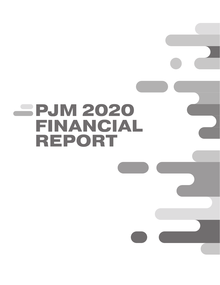# SPJM 2020 FINANCIAL **REPORT**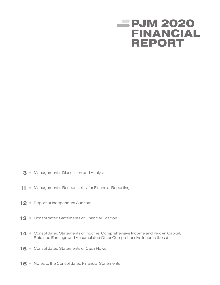# **SPJM 2020 FINANCIAL REPORT**

- **3** Management's Discussion and Analysis
- 11 Management's Responsibility for Financial Reporting
- 12 Report of Independent Auditors
- 13 Consolidated Statements of Financial Position
- 14 Consolidated Statements of Income, Comprehensive Income and Paid-in Capital, Retained Earnings and Accumulated Other Comprehensive Income (Loss)
- 15 Consolidated Statements of Cash Flows
- 16 Notes to the Consolidated Financial Statements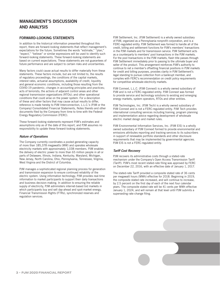# **MANAGEMENT'S DISCUSSION AND ANALYSIS**

#### **FORWARD-LOOKING STATEMENTS**

In addition to the historical information presented throughout this report, there are forward-looking statements that reflect management's expectations for the future. Sometimes the words "estimate," "plan," "expect," "believe" or similar expressions will be used to identify such forward-looking statements. These forward-looking statements are based on current expectations. These statements are not guarantees of future performance and are subject to certain risks and uncertainties.

Many factors could cause actual results to differ materially from these statements. These factors include, but are not limited to, the results of regulatory proceedings, the conditions of the capital markets, interest rates, actuarial assumptions, availability of credit, liquidity and general economic conditions, including those resulting from the COVID-19 pandemic; changes in accounting principles and practices; acts of terrorists; the actions of adjacent control areas and other regional transmission organizations (RTOs); and other operational conditions that could arise on the power system. For a description of these and other factors that may cause actual results to differ, reference is made hereby to PJM Interconnection, L.L.C.'s (PJM or the Company) Consolidated Financial Statements, Notes thereto and other documents filed by the Company from time to time with the Federal Energy Regulatory Commission (FERC).

These forward-looking statements represent PJM's estimates and assumptions only as of the date of this report, and PJM assumes no responsibility to update these forward-looking statements.

#### *Nature of Operations*

The Company currently coordinates a pooled generating capacity of more than 185,378 megawatts (MW) and operates wholesale electricity markets with approximately 1,038 members. PJM enables the delivery of electric power to more than 65 million people in all or parts of Delaware, Illinois, Indiana, Kentucky, Maryland, Michigan, New Jersey, North Carolina, Ohio, Pennsylvania, Tennessee, Virginia, West Virginia and the District of Columbia.

PJM manages a sophisticated regional planning process for generation and transmission expansion to ensure continued reliability of the electric system. Using information technology, PJM provides real-time information to market participants to support their daily transactions and business decision-making. In addition to ensuring the reliable supply of electricity, PJM administers internet-based bid markets in which participants buy and sell day-ahead and spot-market energy, Financial Transmission Rights (FTRs), synchronized reserves and regulation services.

PJM Settlement, Inc. (PJM Settlement) is a wholly owned subsidiary of PJM, organized as a Pennsylvania nonprofit corporation, and is a FERC-regulated entity. PJM Settlement was formed to handle all of the credit, billing and settlement functions for PJM's members' transactions in the PJM markets and for transmission service. PJM Settlement acts as a counterparty to members' pool transactions in the PJM markets. For the pool transactions in the PJM markets, flash title passes through PJM Settlement immediately prior to passing to the ultimate buyer and seller of the product. This arrangement reinforces PJM's authority to continue to net a member's offsetting financial positions in PJM markets for credit and billing purposes, provides clarity in PJM Settlement's legal standing to pursue collection from a bankrupt member, and complies with FERC's recommendation on credit policy requirements for competitive wholesale electricity markets.

PJM Connext, L.L.C. (PJM Connext) is a wholly owned subsidiary of PJM and is not a FERC-regulated entity. PJM Connext was formed to provide service and technology solutions to existing and emerging energy markets, system operators, RTOs and other entities.

PJM Technologies, Inc. (PJM Tech) is a wholly owned subsidiary of PJM Connext and is not a FERC-regulated entity. PJM Tech provides international consulting services including training, program planning and implementation advice regarding development of wholesale electric market design and market rules.

PJM Environmental Information Services, Inc. (PJM EIS) is a wholly owned subsidiary of PJM Connext formed to provide environmental and emissions attributes reporting and tracking services to its subscribers in support of renewable portfolio standards and other disclosure requirements that may be implemented by governmental agencies. PJM EIS is not a FERC-regulated entity.

#### *Tariff Cost Recovery*

PJM recovers its administrative costs through a stated-rate mechanism under the Company's Open Access Transmission Tariff (Tariff). PJM's most recent stated-rate filing was approved by FERC on December 22, 2016, with an effective date of January 1, 2017.

The stated-rate Tariff provided a composite stated rate of 36 cents per megawatt hours (MWh) effective for 2018. Beginning in 2019, the composite stated rate increased, and will continue to increase, by 2.5 percent on the first day of each of the next four calendar years. The composite stated rate will be 41 cents per MWh effective January 1, 2024, and will remain at that level until PJM submits a superseding rate-change filing.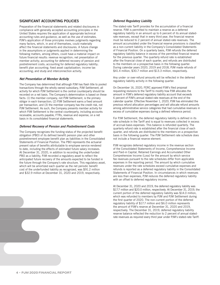#### **SIGNIFICANT ACCOUNTING POLICIES**

Preparation of the financial statements and related disclosures in compliance with generally accepted accounting principles in the United States requires the application of appropriate technical accounting rules and guidance, as well as the use of estimates. PJM's application of those principles involves judgments regarding many factors, which, in and of themselves, could materially affect the financial statements and disclosures. A future change in the assumptions or judgments applied in determining the following matters, among others, could have a material impact on future financial results: revenue recognition; net presentation of member activity; accounting for deferred recovery of pension and postretirement costs; accounting for deferred regulatory liability; benefit plan accounting; fixed asset capitalization; income tax accounting; and study and interconnection activity.

#### *Net Presentation of Member Activity*

The Company has determined that although PJM has flash title to pooled transactions through the wholly owned subsidiary, PJM Settlement, all activity for which PJM Settlement is the central counterparty should be recorded on a net basis. The Company's determination is based on these facts: (1) the member company, not PJM Settlement, is the primary obligor in each transaction; (2) PJM Settlement earns a fixed amount per transaction; and (3) the member company has the credit risk, not PJM Settlement. As such, the Company presents member activity for which PJM Settlement is the central counterparty, including accounts receivable, accounts payable, FTRs, revenue and expense, on a net basis in its consolidated financial statements.

#### *Deferred Recovery of Pension and Postretirement Costs*

The Company recognizes the funding status of the projected benefit obligation (PBO) of its defined benefit pension plan and other postretirement employee benefit plan as liabilities in the Consolidated Statements of Financial Position. The PBO represents the actuarial present value of benefits attributable to employee service rendered to date, including the effects of estimated future salary increases. At December 31, 2020, in addition to recording the underfunded PBO as a liability, PJM recorded a regulatory asset to reflect the anticipated future recovery of the amounts expected to be funded in the future through the Company's rate structure. This regulatory asset, which will be amortized each quarter as the net periodic benefit cost of the underfunded liability as recognized, was \$91.2 million and \$32.9 million at December 31, 2020 and 2019, respectively.

#### *Deferred Regulatory Liability*

The stated-rate Tariff provides for the accumulation of a financial reserve. PJM is permitted to maintain a reserve as a deferred regulatory liability in an amount up to 6 percent of its annual statedrate revenues, except that in every third year, the financial reserve must be reduced to 2 percent of annual stated-rate revenues. The amount accumulated under the financial reserve provisions is classified as a non-current liability in the Company's Consolidated Statements of Financial Position. On a quarterly basis, PJM refunds the deferred regulatory liability balance in excess of the permitted financial reserve for the previous quarter. The quarterly refund rate is established after the financial close of each quarter, and refunds are distributed to the members on a prospective basis in the following quarter. During calendar years 2020, 2019 and 2018, PJM made refunds of \$41.4 million, \$30.7 million and \$13.3 million, respectively.

Any under- or over-refund amounts will be reflected in the deferred regulatory liability activity in the following quarter.

On December 16, 2020, FERC approved PJM's filed proposal requesting revisions to the Tariff to modify how PJM allocates the amount in PJM's deferred regulatory liability account that exceeds 6 percent of PJM's annual stated-rate revenues at the end of the calendar quarter. Effective November 1, 2020, PJM has eliminated the previous refund allocation percentages and will allocate refund amounts among administrative service categories that had cumulative revenues in excess of cumulative expenses during a defined reference period.

For PJM Settlement, the deferred regulatory liability is defined in its rate schedule in the Tariff and is equal to revenues collected in excess of accrual-basis expenses. This balance is refunded quarterly. The quarterly refund rate is established after the financial close of each quarter, and refunds are distributed to the members on a prospective basis in the following quarter. The PJM Settlement rate schedule does not include a financial reserve element.

PJM recognizes deferred regulatory income in the revenue section of the Consolidated Statements of Income, Comprehensive Income and Paid-in Capital, Retained Earnings and Accumulated Other Comprehensive Income (Loss) for the amount by which service fee revenues pursuant to the rate schedules differ from applicable expenses in the reporting period. The amount by which cumulative revenues under the rate schedules exceed cumulative expenses and refunds is reported as a deferred regulatory liability in the Consolidated Statements of Financial Position. In circumstances in which revenues are less than expenses, PJM reduces the deferred regulatory liability with an offset to deferred regulatory income.

At December 31, 2020 and 2019, the deferred regulatory liability was \$17.7 million and \$20.0 million, respectively. At December 31, 2019, the current portion of the deferred regulatory liability was \$14.0 million, which was refunded to members by PJM and PJM Settlement during the first quarter of 2020. The non-current portion of the deferred regulatory liability of \$17.7 million and \$6.0 million represents the amount of PJM's reserve at December 31, 2020 and 2019, respectively. The December 31, 2019, deferred regulatory liability reserve balance reflected the reduction to 2 percent of annual statedrate revenues as required every third year under PJM's stated-rate Tariff.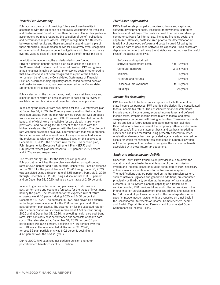#### *Benefit Plan Accounting*

PJM accrues the costs of providing future employee benefits in accordance with the guidance of Employers' Accounting for Pensions and Postretirement Benefits Other than Pensions. Under this guidance, assumptions are made regarding the valuation of benefit obligations and performance of plan assets. Delayed recognition of differences between actual results and those assumed is a guiding principle of these standards. This approach allows for a relatively even recognition of the effects of changes in benefit obligations and plan performance over the working lives of the employees who benefit under the plans.

In addition to recognizing the underfunded or overfunded PBO of a defined benefit pension plan as an asset or a liability in the Consolidated Statements of Financial Position, PJM recognizes annual changes in gains or losses, prior service costs or other credits that have otherwise not been recognized as a part of the liability for pension benefits in the Consolidated Statements of Financial Position. A corresponding regulatory asset, called deferred pension and postretirement costs, has been recognized in the Consolidated Statements of Financial Position.

PJM's selection of the discount rate, health care cost trend rate and expected rate of return on pension assets is based on its review of available current, historical and projected rates, as applicable.

In selecting the discount rate assumption for the PJM retirement plan at December 31, 2020, the Company used a method that matches projected payouts from the plan with a yield curve that was produced from a universe containing over 500 U.S.-issued, Aa-rated corporate bonds, all of which were noncallable (or callable with make-whole provisions), and excluding the 10 percent of the bonds with the highest yields and the 10 percent with the lowest yields. The discount rate was then developed as a level equivalent rate that would produce the same present value as would result using spot rates to discount the projected pension benefit payments. Based on this analysis, at December 31, 2020, the discount rate for the PJM pension plan, PJM Supplemental Executive Retirement Plan (SERP) and PJM postretirement plan decreased to 2.76 percent, 2.69 percent and 2.70 percent, respectively.

The results during 2020 for the PJM pension plan and PJM postretirement health care plan were derived using discount rates of 3.65 percent and 3.55 percent, respectively. Pension expense for the SERP for the period January 1, 2020 through June 30, 2020, was calculated using a discount rate of 3.55 percent, from July 1, 2020 through December 30, 2020, using a discount rate of 3.00 percent and on December 31, 2020, using a discount rate of 2.69 percent.

In selecting an expected return on plan assets, PJM considers past performance and economic forecasts for the types of investments held by the plans. The assumption for the expected rate of return on assets was 6.40 percent during 2020 and 5.50 percent at December 31, 2020. The decrease in 2020 was driven by a change in the target asset allocation for the PJM pension plan and other postretirement plan assets. The assumption for the expected rate for which compensation will increase remained at 4.50 percent during 2020 and at December 31, 2020. In selecting health care cost trend rates, PJM considers past performance and forecasts of health care costs. The rate selected at December 31, 2020, for pre-65 plan participants was 5.65 percent, declining to 4.46 percent over the next 18 years. The rate selected at December 31, 2020, for post-65 plan participants was 6.02 percent, declining to 4.45 percent over the next 20 years.

During 2020, PJM expensed net periodic pension and other postretirement benefit costs of \$9.1 million.

#### *Fixed Asset Capitalization*

PJM's fixed assets principally comprise software and capitalized software development costs, leasehold improvements, computer hardware and buildings. The costs incurred to acquire and develop computer software for internal use, including financing costs, are capitalized. However, costs incurred prior to the determination of feasibility of developed software and costs incurred following the in-service date of developed software are expensed. Fixed assets are depreciated or amortized using the straight-line method over the useful lives of the assets as follows:

| Software and capitalized<br>software development costs | 3 to 10 years  |
|--------------------------------------------------------|----------------|
| Computer hardware                                      | 3 to 5 years   |
| Vehicles                                               | 5 years        |
| Furniture and fixtures                                 | 10 years       |
| Leasehold improvements                                 | 10 to 15 years |
| <b>Buildings</b>                                       | 25 years       |

#### *Income Tax Accounting*

PJM has elected to be taxed as a corporation for both federal and state income tax purposes. PJM and its subsidiaries file a consolidated federal income tax return. The consolidated financial statements include prepaid income taxes, accrued income taxes and deferred income taxes. Prepaid income taxes relate to federal and state overpayments on deposit with taxing authorities. These overpayments will be applied to future federal and state income tax liabilities. Deferred income taxes represent the temporary differences between the Company's financial statement basis and tax basis in existing assets and liabilities measured using presently enacted tax rates. A valuation allowance has been provided against certain deferred tax assets for which management has concluded it is more likely than not the Company will be unable to recognize the income tax benefit associated with those future tax deductions.

#### *Study and Interconnection Activity*

Under the Tariff, PJM's transmission provider role is to direct the operation and coordinate the maintenance of the transmission system and indicate, based on studies conducted by PJM, necessary enhancements or modifications to the transmission system. The modifications that are performed on the transmission system, such as network upgrades and generation additions, are conducted principally by third-party vendors at the request of transmission customers. In its system planning capacity as a transmission service provider, PJM provides billing and collection services in the interconnection service agreement process. Billings and collections by PJM for work it performs on behalf of the counterparties to the specific interconnection agreements are reported on a net basis in the Consolidated Statements of Income, Comprehensive Income and Paid-in Capital, Retained Earnings and Accumulated Other Comprehensive Income (Loss).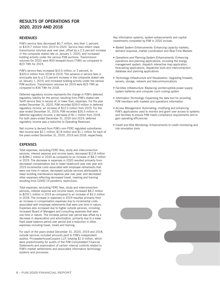# **RESULTS OF OPERATIONS FOR 2020, 2019 AND 2018**

#### **REVENUES**

PJM's service fees decreased \$0.7 million, less than 1 percent, to \$319.7 million from 2019 to 2020. Service fees reflect lower transmission volumes year over year, offset by a 2.5 percent increase in the composite stated rate on January 1, 2020, and increased bidding activity under the various PJM auctions. Transmission volumes for 2020 were 800 terawatt-hours (TWh) as compared to 823 TWh for 2019.

PJM's service fees increased \$10.5 million, or 3 percent, to \$320.4 million from 2018 to 2019. The variance in service fees is principally due to a 2.5 percent increase in the composite stated rate on January 1, 2019, and increased bidding activity under the various PJM auctions. Transmission volumes for 2019 were 823 TWh as compared to 836 TWh for 2018.

Deferred regulatory income represents the change in PJM's deferred regulatory liability for the period, resulting from PJM's stated-rate Tariff service fees in excess of, or lower than, expenses. For the year ended December 31, 2020, PJM recorded \$39.0 million in deferred regulatory income, an increase of \$12.5 million from 2019. For the year ended December 31, 2019, PJM recorded \$26.5 million in deferred regulatory income, a decrease of \$1.1 million from 2018. For both years ended December 31, 2020 and 2019, deferred regulatory income was a reduction to Operating Revenues.

Net income is derived from PJM's non-FERC regulated subsidiaries. Net income was \$2.1 million, \$1.8 million and \$1.1 million for each of the years ended December 31, 2020, 2019 and 2018, respectively.

#### **EXPENSES**

Total expenses, excluding FERC fees, study and interconnection services, interest expense and income taxes, decreased \$12.8 million to \$284.1 million in 2020 as compared to an increase of \$8.2 million in 2019. The decrease in expenses in 2020 resulted primarily from decreased compensation due to lower headcount year over year and 2019 incremental costs associated with employee retirements that were one time in nature; decreased outside services attributable to lower building maintenance expense year over year; and decreased other expenses reflecting decreased travel, meeting and training resulting from COVID-19 pandemic restrictions.

Total expenses, excluding FERC fees, study and interconnection services, interest expense and income taxes, increased \$8.2 million to \$297.1 million in 2019 as compared to an increase of \$3.2 million in 2018. The increase in expenses in 2019 resulted primarily from an increase in compensation expenses due to incremental costs associated with employee retirements that were one time in nature. Expenses also increased due to higher outside services, including increased Board of Managers and consulting expenses that were one time in nature. The increase period over period was offset by a decrease in depreciation and amortization, primarily due to a lower fixed asset balance period over period and a reduction in other expenses including travel, meals and training.

For each of the years ended December 31, 2020, 2019 and 2018, outside services included amounts paid to PJM's independent auditor, PricewaterhouseCoopers LLP, totaling \$1.0 million, which were predominantly for audits of the PJM Consolidated Financial Statements and examination of certain internal controls related to PJM's market settlements and associated information technology systems and processes.

Key information systems, system enhancements and capital investments completed by PJM in 2020 include:

- *Market System Enhancements:* Enhancing capacity markets, demand response, market coordination and Real-Time Markets
- *Operations and Planning System Enhancements:* Enhancing operations and planning applications, including the energy management system, dispatch interactive map application, forecasting applications, dispatcher tools and interconnection database and planning applications
- *Technology Infrastructure and Visualization:* Upgrading firewalls, servers, storage, network and telecommunications
- *Facilities Infrastructure:* Replacing uninterruptible power supply system batteries and computer room cooling system
- *Information Technology:* Expanding the data tool for providing PJM members with markets and operations information
- *Access Management:* Automating, modifying and enhancing PJM's applications used to monitor and grant user access to systems and facilities to ensure PJM meets compliance requirements and to gain operating efficiencies
- *Credit and Risk Monitoring:* Enhancements to credit monitoring and risk simulation tools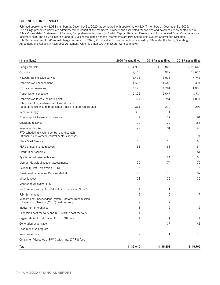#### **BILLINGS FOR SERVICES**

PJM had approximately 1,038 members at December 31, 2020, as compared with approximately 1,047 members at December 31, 2019. The billings presented below are administered on behalf of the members; however, the associated receivables and payables are presented net in PJM's Consolidated Statements of Income, Comprehensive Income and Paid-in Capital, Retained Earnings and Accumulated Other Comprehensive Income (Loss). The only billings included in PJM's consolidated financial statements are PJM Scheduling, System Control and Dispatch, PJM Settlement and FERC annual charge recovery. For 2020, 2019 and 2018, settlements processed by PJM under the Tariff, Operating Agreement and Reliability Assurance Agreement, which is a non-GAAP measure, were as follows:

| (\$ in millions)                                                                                             | 2020 Amount Billed | <b>2019 Amount Billed</b> | <b>2018 Amount Billed</b> |
|--------------------------------------------------------------------------------------------------------------|--------------------|---------------------------|---------------------------|
| Energy markets                                                                                               | \$14,837           | \$18,825                  | \$27,645                  |
| Capacity                                                                                                     | 7,466              | 8,989                     | 10,634                    |
| Network transmission service                                                                                 | 5,496              | 5,528                     | 4,745                     |
| Transmission enhancement                                                                                     | 1,605              | 1,449                     | 1,494                     |
| FTR auction revenues                                                                                         | 1,126              | 1,281                     | 1,000                     |
| Transmission congestion                                                                                      | 1,106              | 1,047                     | 1,714                     |
| Transmission losses (point-to-point)                                                                         | 574                | 751                       | 1,034                     |
| PJM scheduling, system control and dispatch<br>(operating expense reimbursement, net of stated-rate refunds) | 361                | 290                       | 297                       |
| Reactive supply                                                                                              | 353                | 311                       | 319                       |
| Point-to-point transmission service                                                                          | 149                | 77                        | 61                        |
| Operating reserves                                                                                           | 90                 | 79                        | 153                       |
| <b>Regulation Market</b>                                                                                     | 77                 | 91                        | 146                       |
| RTO scheduling, system control and dispatch<br>(transmission owners' control center expenses)                | 69                 | 68                        | 74                        |
| <b>Black Start Service</b>                                                                                   | 65                 | 65                        | 65                        |
| FERC annual charge recovery                                                                                  | 63                 | 63                        | 64                        |
| Distribution facilities                                                                                      | 63                 | 63                        | 51                        |
| Synchronized Reserve Market                                                                                  | 33                 | 44                        | 65                        |
| Member default allocation assessments                                                                        | 20                 | 74                        | 70                        |
| ReliabilityFirst Corporation (RFC)                                                                           | 17                 | 16                        | 15                        |
| Day-Ahead Scheduling Reserve Market                                                                          | 13                 | 18                        | 37                        |
| <b>Miscellaneous</b>                                                                                         | 13                 | 12                        | 12                        |
| Monitoring Analytics, LLC                                                                                    | 12                 | 10                        | 10                        |
| North American Electric Reliability Corporation (NERC)                                                       | 11                 | 11                        | 10                        |
| <b>PJM Settlement</b>                                                                                        | 9                  | 9                         | 7                         |
| Midcontinent Independent System Operator Transmission<br>Expansion Planning (MTEP) cost recovery             | 7                  | 7                         | 8                         |
| Inadvertent interchange                                                                                      | 3                  | 2                         | 5                         |
| Expansion cost recovery and RTO startup cost recovery                                                        | $\mathbf 1$        | 2                         | 2                         |
| Organization of PJM States, Inc. (OPSI) fees                                                                 | 1                  | 1                         | 1                         |
| Generation deactivation                                                                                      |                    | 17                        | 41                        |
| Load response program                                                                                        |                    | 2                         | 3                         |
| Reactive services                                                                                            |                    | 1                         | 13                        |
| Consumer Advocates of PJM States, Inc. (CAPS) fees                                                           |                    |                           |                           |
| <b>Total</b>                                                                                                 | \$33,640           | \$39,203                  | \$49,795                  |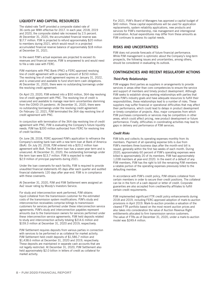#### **LIQUIDITY AND CAPITAL RESOURCES**

The stated-rate Tariff provided a composite stated rate of 36 cents per MWh effective for 2017. In each year, 2018, 2019 and 2020, the composite stated rate increased by 2.5 percent. At December 31, 2020, the accumulated financial reserve was \$17.7 million. PJM is projected to refund approximately \$20 million to members during 2021, which would result in a projected accumulated financial reserve balance of approximately \$18 million at December 31, 2021.

In the event PJM's actual expenses are projected to exceed its revenues and financial reserve, PJM is empowered to and would need to file a rate case with FERC.

PJM maintains with PNC Bank (PNC) a FERC-approved revolving line of credit agreement with a capacity amount of \$150 million. The revolving line of credit agreement expires on January 31, 2022, and is unsecured and available to fund short-term cash obligations. At December 31, 2020, there were no outstanding borrowings under the revolving credit agreement.

On April 23, 2020, PJM entered into a \$50 million, 364-day revolving line of credit agreement with PNC. The revolving line of credit is unsecured and available to manage near-term uncertainties stemming from the COVID-19 pandemic. At December 31, 2020, there were no outstanding borrowings under the revolving credit agreement. On February 12, 2021, PJM terminated the 364-day revolving line of credit agreement with PNC.

In conjunction with termination of the 364-day revolving line of credit agreement with PNC, PJM is evaluating the Company's future liquidity needs. PJM has \$200 million authorized from FERC for revolving line of credit facilities.

On June 28, 2018, FERC approved PJM's application to refinance the Company's existing bank loan with a new term loan at Bank of America (BoA). On July 20, 2018, PJM entered into a \$20.2 million loan agreement with BoA. The BoA term loan has a seven-year term and is unsecured. At December 31, 2020, the outstanding borrowings under the term loan were \$13.7 million. PJM is expected to make \$2.9 million of principal payments during 2021.

Under the loan covenants for each facility, PJM is required to provide unaudited financial statements 45 days after each quarter and audited financial statements 120 days after year-end. PJM is in compliance with these covenants.

At December 31, 2020, PJM and PJM Settlement were assigned an Aa2 issuer rating by Moody's Investors Service.

For study and interconnection work performed, PJM obtains liquid collateral from the transmission customer for the estimated costs of the transmission system modifications. PJM's study and interconnection receivables comprise billings to transmission customers for services performed under these interconnection service agreements. PJM's study and interconnection payables represent amounts due to the transmission owners for services performed under these interconnection service agreements. PJM held deposits related to study and interconnection activity totaling \$214.6 million and \$159.3 million at December 31, 2020 and 2019, respectively.

PJM Settlement requires deposits from various parties in connection with services to be performed or as collateral for market activity. PJM Settlement held credit deposits of \$1,586.7 million and \$1,438.6 million at December 31, 2020 and 2019, respectively. These deposits are maintained in separate cash accounts that are not legally restricted. At December 31, 2020, PJM Settlement also held approximately \$2.0 billion in letters of credit as collateral for market activity.

For 2021, PJM's Board of Managers has approved a capital budget of \$40 million. These capital expenditures will be used for application replacements, system reliability applications, new products and services for PJM's membership, risk management and interregional coordination. Actual expenditures may differ from these amounts as PJM continues to assess its capital needs.

#### **RISKS AND UNCERTAINTIES**

PJM does not provide forecasts of future financial performance. While PJM management is optimistic about the Company's long-term prospects, the following issues and uncertainties, among others, should be considered in evaluating its outlook.

#### **CONTINGENCIES AND RECENT REGULATORY ACTIONS**

#### *Third-Party Relationships*

PJM engages third parties as suppliers in arrangements to provide services in areas other than core competencies to ensure the service and support of members and timely product development. Although PJM seeks to establish strong working relationships with parties that share PJM's industry goals and have adequate resources to fulfill their responsibilities, these relationships lead to a number of risks. These suppliers may suffer financial or operational difficulties that may affect their performance, which could lead to delays in product development or timely completion of projects. Also, major companies from which PJM purchases components or services may be competitors in other areas, which could affect pricing, new product development or future performance. Finally, difficulties in coordinating activities may lead to gaps in delivery and performance of PJM services.

#### *Credit Risks*

PJM bills and collects its operating expenses monthly from its members. Payment of all operating expense bills is due from PJM's members three business days after the month-end bill is issued, generally within the first two weeks of each month. During 2020, approximately 60 percent of PJM's operating expenses were billed to approximately 20 of its members. PJM had approximately 1,038 members at year-end 2020. In the event of a default of any PJM members, PJM has the right to bill the remaining PJM members a ratable portion of the operating expenses previously billed to the defaulting member.

In accordance with PJM's credit policy, PJM obtains collateral from certain members in order to secure their credit positions. The collateral can be in the form of a cash deposit or letter of credit. Corporate guaranties are also accepted from creditworthy affiliates to fulfill certain credit requirements.

PJM implemented significant FTR credit policy enhancements during 2018 and 2019, including FERC-approved adoption of mark-to-auction provisions in April 2019. Mark-to-auction provides a valuation of the cleared FTR portfolio based on the most recent auction prices and also takes into consideration the value of Auction Revenue Right entitlements allocated to firm transmission service customers. The value of FTRs as of December 31, 2020, under a mark-to-auction model was \$249.4 million.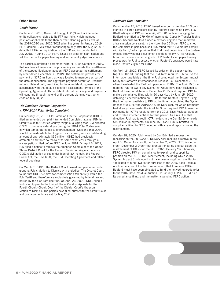#### **Other Items**

#### *Credit Matter*

On June 21, 2018, GreenHat Energy, LLC (GreenHat) defaulted on its obligations related to its FTR portfolio, which included positions applicable to the then current planning year as well as the 2019/2020 and 2020/2021 planning years. In January 2019, FERC denied PJM's waiver requesting to only offer the August 2018 defaulted FTRs for liquidation in the FTR auction conducted in July 2018. In June 2019, FERC issued an order on clarification and set the matter for paper hearing and settlement judge procedures.

The parties submitted a settlement with FERC on October 9, 2019, that resolves all issues in this proceeding and avoids the resettlement of the stopped liquidation auction. FERC accepted the settlement by order dated December 30, 2019. The settlement provides for payment of \$17.5 million that was allocated to members as part of the default allocation. The aggregate payment default of GreenHat, net of collateral held, was billed to the non-defaulting members in accordance with the default allocation assessment formula in the Operating Agreement. Those default allocation billings and payments will continue through the end of the current planning year, which ends on May 31, 2021.

#### *Old Dominion Electric Cooperative v. PJM 2014 Polar Vortex Complaint*

On February 22, 2019, Old Dominion Electric Cooperative (ODEC) filed an amended complaint (Amended Complaint) against PJM in Circuit Court for Henrico County, Virginia, alleging that PJM directed ODEC to purchase natural gas during the 2014 Polar Vortex event in which temperatures fell to unprecedented levels and that ODEC should be made whole for its gas costs incurred, with an outstanding amount of approximately \$15 million. ODEC had previously attempted and failed to recover the same exact costs through a waiver petition filed before FERC in June 2014. On April 3, 2019, PJM filed a notice to remove the Amended Complaint to the United States District Court for the Eastern District of Virginia, because ODEC's civil action arises under federal law, namely, the Federal Power Act, the PJM Tariff, the PJM Operating Agreement and related federal doctrines.

On March 31, 2020, the District Court issued an opinion and order granting PJM's Motion to Dismiss with prejudice. The District Court found that ODEC's claims for compensation fall entirely within the PJM Tariff and therefore are exclusively governed by federal law and barred by the filed-rate doctrine. On April 23, 2020, ODEC filed a Notice of Appeal to the United States Court of Appeals for the Fourth Circuit (Circuit Court) of the District Court's Order on Motion to Dismiss. The parties have filed briefs with the Circuit Court and oral arguments are set for May 2021.

#### *Radford's Run Complaint*

On November 15, 2018, FERC issued an order (November 15 Order) granting in part a complaint filed by Radford's Run Wind Farm, LLC (Radford) against PJM on June 26, 2018 (Complaint), alleging that Radford is entitled to 279 MW of Incremental Capacity Transfer Rights (ICTRs) because Radford funded a network upgrade that improved a transmission constraint. In the November 15 Order, FERC granted the Complaint in part because FERC found that "PJM did not comply with its Tariff," which provides that PJM must determine in the System Impact Study whether a customer is entitled to any ICTRs resulting from its customer-funded upgrade. FERC established paper hearing procedures for PJM to assess whether Radford's upgrades would have made Radford eligible for ICTRs.

On April 16, 2020, FERC issued its order on the paper hearing (April 16 Order), finding that the PJM Tariff required PJM to use the information available at the time PJM completed the System Impact Study for Radford's interconnection request (i.e., December 2015) when it evaluated the Radford upgrade for ICTRs. The April 16 Order required PJM to award any ICTRs that would have been assigned to Radford based on data as of December 2015, and required PJM to make a compliance filing within 60 days (i.e., by June 15, 2020) detailing its determination on ICTRs for the Radford upgrade using the information available to PJM at the time it completed the System Impact Study. For the 2019/2020 Delivery Year, for which payments had already been made, the April 16 Order required PJM to resettle payments for ICTRs resulting from the 2016 Base Residual Auction and to rebill affected entities for that period. As a result of that directive, PJM had to rebill ICTR holders in the ComEd Zone nearly \$10 million in payments. On June 15, 2020, PJM submitted its compliance filing to FERC together with a refund report showing the resettlement.

On May 18, 2020, PJM (joined by ComEd) filed a request for rehearing on the 2019/2020 Delivery Year rebilling directive in the April 16 Order. As a result, on December 2, 2020, FERC issued an order (December 2 Order) that granted rehearing and set aside the resettlement of ICTRs for the 2019/2020 Delivery Year; however, FERC directed PJM on compliance to explain and support its position on the 2019/2020 resettlement, including why a 2015 System Impact Study would not have been enough to make Radford "obligated to fund" ICTRs for purposes of the 2016 Base Residual Auction because of the Tariff requirement that to receive ICTRs, Radford must have been obligated to fund the network upgrade prior to the 2016 Base Residual Auction. On January 4, 2021, PJM filed its compliance filing, and the matter is pending FERC action.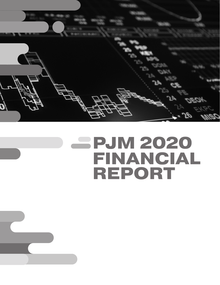

# SPJM 2020 FINANCIAL **REPORT**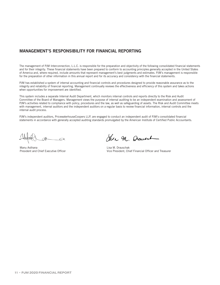### **MANAGEMENT'S RESPONSIBILITY FOR FINANCIAL REPORTING**

The management of PJM Interconnection, L.L.C. is responsible for the preparation and objectivity of the following consolidated financial statements and for their integrity. These financial statements have been prepared to conform to accounting principles generally accepted in the United States of America and, where required, include amounts that represent management's best judgments and estimates. PJM's management is responsible for the preparation of other information in this annual report and for its accuracy and consistency with the financial statements.

PJM has established a system of internal accounting and financial controls and procedures designed to provide reasonable assurance as to the integrity and reliability of financial reporting. Management continually reviews the effectiveness and efficiency of this system and takes actions when opportunities for improvement are identified.

This system includes a separate Internal Audit Department, which monitors internal controls and reports directly to the Risk and Audit Committee of the Board of Managers. Management views the purpose of internal auditing to be an independent examination and assessment of PJM's activities related to compliance with policy, procedures and the law, as well as safeguarding of assets. The Risk and Audit Committee meets with management, internal auditors and the independent auditors on a regular basis to review financial information, internal controls and the internal audit process.

PJM's independent auditors, PricewaterhouseCoopers LLP, are engaged to conduct an independent audit of PJM's consolidated financial statements in accordance with generally accepted auditing standards promulgated by the American Institute of Certified Public Accountants.

Manu Asthana President and Chief Executive Officer

dier M. Drouwsch

Lisa M. Drauschak Vice President, Chief Financial Officer and Treasurer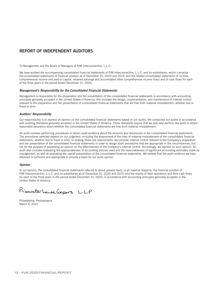# **REPORT OF INDEPENDENT AUDITORS**

To Management and the Board of Managers of PJM Interconnection, L.L.C.:

We have audited the accompanying consolidated financial statements of PJM Interconnection, L.L.C. and its subsidiaries, which comprise the consolidated statements of financial position as of December 31, 2020 and 2019, and the related consolidated statements of income, comprehensive income and paid-in capital, retained earnings and accumulated other comprehensive income (loss) and of cash flows for each of the three years in the period ended December 31, 2020.

#### *Management's Responsibility for the Consolidated Financial Statements*

Management is responsible for the preparation and fair presentation of the consolidated financial statements in accordance with accounting principles generally accepted in the United States of America; this includes the design, implementation, and maintenance of internal control relevant to the preparation and fair presentation of consolidated financial statements that are free from material misstatement, whether due to fraud or error.

#### *Auditors' Responsibility*

Our responsibility is to express an opinion on the consolidated financial statements based on our audits. We conducted our audits in accordance with auditing standards generally accepted in the United States of America. Those standards require that we plan and perform the audit to obtain reasonable assurance about whether the consolidated financial statements are free from material misstatement.

An audit involves performing procedures to obtain audit evidence about the amounts and disclosures in the consolidated financial statements. The procedures selected depend on our judgment, including the assessment of the risks of material misstatement of the consolidated financial statements, whether due to fraud or error. In making those risk assessments, we consider internal control relevant to the Company's preparation and fair presentation of the consolidated financial statements in order to design audit procedures that are appropriate in the circumstances, but not for the purpose of expressing an opinion on the effectiveness of the Company's internal control. Accordingly, we express no such opinion. An audit also includes evaluating the appropriateness of accounting policies used and the reasonableness of significant accounting estimates made by management, as well as evaluating the overall presentation of the consolidated financial statements. We believe that the audit evidence we have obtained is sufficient and appropriate to provide a basis for our audit opinion.

#### *Opinion*

In our opinion, the consolidated financial statements referred to above present fairly, in all material respects, the financial position of PJM Interconnection, L.L.C. and its subsidiaries as of December 31, 2020 and 2019, and the results of their operations and their cash flows for each of the three years in the period ended December 31, 2020, in accordance with accounting principles generally accepted in the United States of America.

Pricewaterhouse Coopers LLP

Philadelphia, Pennsylvania March 4, 2021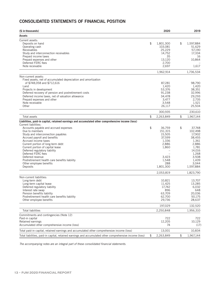# **CONSOLIDATED STATEMENTS OF FINANCIAL POSITION**

| (\$ in thousands)                                                                                                                                                                                                                                                                                                                                                                                                                                                                                                              | 2020                                                                                                                      | 2019                                                                                                                                           |
|--------------------------------------------------------------------------------------------------------------------------------------------------------------------------------------------------------------------------------------------------------------------------------------------------------------------------------------------------------------------------------------------------------------------------------------------------------------------------------------------------------------------------------|---------------------------------------------------------------------------------------------------------------------------|------------------------------------------------------------------------------------------------------------------------------------------------|
| <b>Assets</b>                                                                                                                                                                                                                                                                                                                                                                                                                                                                                                                  |                                                                                                                           |                                                                                                                                                |
| Current assets:<br>Deposits on hand<br>Operating cash<br>Receivables<br>Study and interconnection receivables<br>Prepaid income taxes                                                                                                                                                                                                                                                                                                                                                                                          | \$<br>1,801,300<br>103,081<br>25,229<br>14,752<br>35                                                                      | \$<br>1,597,884<br>51,629<br>57,190<br>17,334<br>16                                                                                            |
| Prepaid expenses and other<br>Deferred FERC fees<br>Note receivable                                                                                                                                                                                                                                                                                                                                                                                                                                                            | 13,120<br>2,700<br>2,697                                                                                                  | 10,864<br>1,617                                                                                                                                |
|                                                                                                                                                                                                                                                                                                                                                                                                                                                                                                                                | 1,962,914                                                                                                                 | 1,736,534                                                                                                                                      |
| Non-current assets:<br>Fixed assets, net of accumulated depreciation and amortization<br>of \$748,058 and \$712,616<br>Land<br>Projects in development<br>Deferred recovery of pension and postretirement costs<br>Deferred income taxes, net of valuation allowance<br>Prepaid expenses and other<br>Note receivable                                                                                                                                                                                                          | 87,281<br>1,420<br>53,376<br>91,238<br>34,478<br>3,477<br>3,548                                                           | 98,790<br>1,420<br>38,351<br>32,996<br>29,293<br>2,735<br>1,521                                                                                |
| Other                                                                                                                                                                                                                                                                                                                                                                                                                                                                                                                          | 26,117                                                                                                                    | 25,504                                                                                                                                         |
|                                                                                                                                                                                                                                                                                                                                                                                                                                                                                                                                | 300,935                                                                                                                   | 230,610                                                                                                                                        |
| Total assets                                                                                                                                                                                                                                                                                                                                                                                                                                                                                                                   | \$<br>2,263,849                                                                                                           | \$<br>1,967,144                                                                                                                                |
| Liabilities, paid-in capital, retained earnings and accumulated other comprehensive income (loss)<br>Current liabilities:<br>Accounts payable and accrued expenses<br>Due to members<br>Study and interconnection payables<br>Accrued payroll and benefits<br>Accrued income taxes<br>Current portion of long-term debt<br>Current portion of capital lease<br>Deferred regulatory liability<br>Deferred FERC fees<br>Deferred revenue<br>Postretirement health care benefits liability<br>Other employee benefits<br>Deposits | \$<br>36,759<br>151,315<br>15,505<br>37,599<br>1,336<br>2,886<br>1,860<br>3,423<br>1,548<br>288<br>1,801,300<br>2,053,819 | \$<br>37,748<br>102,498<br>17,902<br>38,455<br>1,361<br>2,886<br>1,781<br>14,016<br>1,268<br>3,508<br>1,439<br>3,044<br>1,597,884<br>1,823,790 |
| Non-current liabilities:<br>Long-term debt<br>Long-term capital lease<br>Deferred regulatory liability<br>Interest rate swap<br>Pension benefits liability<br>Postretirement health care benefits liability<br>Other employee benefits                                                                                                                                                                                                                                                                                         | 10,821<br>11,425<br>17,742<br>896<br>63,709<br>62,700<br>29,736<br>197,029                                                | 13,707<br>13,285<br>6,032<br>648<br>20,036<br>50,175<br>28,637<br>132,520                                                                      |
| <b>Total liabilities</b>                                                                                                                                                                                                                                                                                                                                                                                                                                                                                                       | 2,250,848                                                                                                                 | 1,956,310                                                                                                                                      |
| Commitments and contingencies (Note 12)<br>Paid-in capital<br>Retained earnings<br>Accumulated other comprehensive income (loss)                                                                                                                                                                                                                                                                                                                                                                                               | 722<br>12,205<br>74                                                                                                       | 722<br>10,129<br>(17)                                                                                                                          |
| Total paid-in capital, retained earnings and accumulated other comprehensive income (loss)                                                                                                                                                                                                                                                                                                                                                                                                                                     | 13,001                                                                                                                    | 10,834                                                                                                                                         |
| Total liabilities, paid-in capital, retained earnings and accumulated other comprehensive income (loss)                                                                                                                                                                                                                                                                                                                                                                                                                        | \$<br>2,263,849                                                                                                           | \$<br>1,967,144                                                                                                                                |

*The accompanying notes are an integral part of these consolidated financial statements.*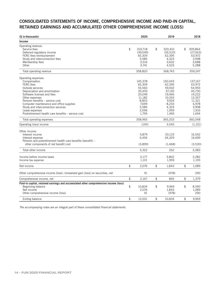# **CONSOLIDATED STATEMENTS OF INCOME, COMPREHENSIVE INCOME AND PAID-IN CAPITAL, RETAINED EARNINGS AND ACCUMULATED OTHER COMPREHENSIVE INCOME (LOSS)**

| (\$ in thousands)                                                                                                                                                                                                                                                                                   | 2020                                                                                          |               | 2019                                                                                          | 2018                                                                                           |
|-----------------------------------------------------------------------------------------------------------------------------------------------------------------------------------------------------------------------------------------------------------------------------------------------------|-----------------------------------------------------------------------------------------------|---------------|-----------------------------------------------------------------------------------------------|------------------------------------------------------------------------------------------------|
| <b>Income</b>                                                                                                                                                                                                                                                                                       |                                                                                               |               |                                                                                               |                                                                                                |
| Operating revenue:<br>Service fees<br>Deferred regulatory income<br><b>FERC</b> fees reimbursement<br>Study and interconnection fees                                                                                                                                                                | \$<br>319,718<br>(39,049)<br>65,309<br>5,585                                                  | \$            | 320,410<br>(26, 510)<br>62,395<br>4,323                                                       | \$<br>309,864<br>(27.563)<br>63,972<br>3,998                                                   |
| Membership fees<br>Other                                                                                                                                                                                                                                                                            | 3,516<br>3,741                                                                                |               | 3,602<br>4,523                                                                                | 3,688<br>5,288                                                                                 |
| Total operating revenue                                                                                                                                                                                                                                                                             | 358,820                                                                                       |               | 368,743                                                                                       | 359,247                                                                                        |
| Operating expenses:<br>Compensation<br><b>FERC</b> fees<br>Outside services<br>Depreciation and amortization<br>Software licenses and fees<br>Other expenses<br>Pension benefits - service cost<br>Computer maintenance and office supplies<br>Study and interconnection services<br>Lease expenses | 145.378<br>65,309<br>55,560<br>35,459<br>20,049<br>11,182<br>8,853<br>7,699<br>5,585<br>2,096 |               | 150.043<br>62,395<br>59,932<br>37,192<br>19,466<br>10,243<br>9,924<br>8,233<br>4,323<br>1,959 | 137,167<br>63,972<br>54,993<br>45,730<br>19,222<br>13,357<br>11,321<br>6,978<br>3,998<br>1,916 |
| Postretirement health care benefits - service cost                                                                                                                                                                                                                                                  | 1,795                                                                                         |               | 1,493                                                                                         | 1,694                                                                                          |
| Total operating expenses                                                                                                                                                                                                                                                                            | 358,965                                                                                       |               | 365,203                                                                                       | 360,348                                                                                        |
| Operating (loss) income                                                                                                                                                                                                                                                                             | (145)                                                                                         |               | 3,540                                                                                         | (1,101)                                                                                        |
| Other income:<br>Interest income<br>Interest expense<br>Pension and postretirement health care benefits (benefit) -<br>other components of net benefit cost                                                                                                                                         | 5.879<br>6,456<br>(3,899)                                                                     |               | 33.123<br>34,329<br>(1, 468)                                                                  | 16.552<br>16,699<br>(3,530)                                                                    |
| Total other income                                                                                                                                                                                                                                                                                  | 3,322                                                                                         |               | 262                                                                                           | 3,383                                                                                          |
| Income before income taxes<br>Income tax expense                                                                                                                                                                                                                                                    | 3.177<br>1,101                                                                                |               | 3.802<br>1,959                                                                                | 2,282<br>1,193                                                                                 |
| Net income                                                                                                                                                                                                                                                                                          | \$<br>2,076                                                                                   | $\frac{4}{3}$ | 1,843                                                                                         | \$<br>1,089                                                                                    |
| Other comprehensive income (loss): Unrealized gain (loss) on securities, net                                                                                                                                                                                                                        | 91                                                                                            |               | (978)                                                                                         | 290                                                                                            |
| Comprehensive income, net                                                                                                                                                                                                                                                                           | \$<br>2,167                                                                                   | $\frac{4}{3}$ | 865                                                                                           | \$<br>1,379                                                                                    |
| Paid-in capital, retained earnings and accumulated other comprehensive income (loss)<br>Beginning balance<br>Net income<br>Other comprehensive income (loss)                                                                                                                                        | \$<br>10,834<br>2,076<br>91                                                                   | \$            | 9.969<br>1,843<br>(978)                                                                       | \$<br>8,590<br>1,089<br>290                                                                    |
| Ending balance                                                                                                                                                                                                                                                                                      | \$<br>13,001                                                                                  | $\frac{4}{3}$ | 10,834                                                                                        | \$<br>9,969                                                                                    |

*The accompanying notes are an integral part of these consolidated financial statements.*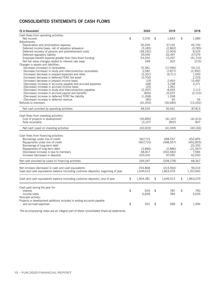# **CONSOLIDATED STATEMENTS OF CASH FLOWS**

| (\$ in thousands)                                                                  | 2020            | 2019            | 2018            |
|------------------------------------------------------------------------------------|-----------------|-----------------|-----------------|
| Cash flows from operating activities:                                              |                 |                 |                 |
| Net income                                                                         | \$<br>2.076     | \$<br>1,843     | \$<br>1,089     |
| Adjustments:                                                                       |                 |                 |                 |
| Depreciation and amortization expense                                              | 35.459          | 37.192          | 45.730          |
| Deferred income taxes, net of valuation allowance                                  | (5,185)         | (2,862)         | (3,785)         |
| Deferred recovery of pension and postretirement costs                              | (58, 242)       | (2,904)         | 8,525           |
| Deferred regulatory liability                                                      | 39,049          | 26,497          | 27,579          |
| Employee benefit expense greater than (less than) funding                          | 54,650          | 15,257          | (51, 710)       |
| Net fair value changes related to interest rate swap                               | 248             | 323             | (215)           |
| Changes in assets and liabilities:                                                 |                 |                 |                 |
| Decrease (increase) in receivables                                                 | 31,961          | (17, 496)       | 54,121          |
| Decrease (increase) in study and interconnection receivables                       | 2,582           | (7, 877)        | (2, 392)        |
| (Increase) decrease in prepaid expenses and other                                  | (5, 301)        | (9,711)         | 1,090           |
| (Increase) decrease in deferred FERC fee asset                                     | (2,700)         |                 | 2,229           |
| (Increase) decrease in prepaid income taxes                                        | (19)            | 2,465           | 15,487          |
| (Decrease) increase in accounts payable and accrued expenses                       | (68)            | 3.198           | 3,271           |
| (Decrease) increase in accrued income taxes                                        | (25)            | 1,361           |                 |
| (Decrease) increase in study and interconnection payables                          | (2, 397)        | 8,655           | 2,113           |
| (Decrease) increase in accrued payroll and benefits                                | (856)           | 10,072          | (2, 123)        |
| (Decrease) increase in deferred FERC fee liability                                 | (1,268)         | 1,268           |                 |
| (Decrease) increase in deferred revenue                                            | (85)            | 65              | 56              |
| Refunds to members                                                                 | (41, 355)       | (30,685)        | (13, 252)       |
| Net cash provided by operating activities                                          | 48,524          | 36,661          | 87,813          |
|                                                                                    |                 |                 |                 |
| Cash flows from investing activities.<br>Cost of projects in development           | (39,896)        | (41, 147)       | (41, 013)       |
| Note receivable                                                                    | (3, 107)        | (802)           | 847             |
|                                                                                    |                 |                 |                 |
| Net cash (used in) investing activities                                            | (43,003)        | (41, 949)       | (40, 166)       |
| Cash flows from financing activities:                                              |                 |                 |                 |
| Borrowings under line of credit                                                    | 967,715         | 498,557         | 452,855         |
| Repayments under line of credit                                                    | (967,715)       | (498, 557)      | (452, 855)      |
| Borrowings of long-term debt                                                       |                 |                 | 20,200          |
| Repayments of long-term debt                                                       | (2,886)         | (2,886)         | (21, 467)       |
| (Decrease) increase in due to members                                              | 48.817          | (302, 482)      | 7,584           |
| Increase (decrease) in deposits                                                    | 203,416         | 97,090          | 42,050          |
|                                                                                    |                 |                 |                 |
| Net cash provided by (used in) financing activities                                | 249,347         | (208, 278)      | 48,367          |
| Net increase (decrease) in cash and cash equivalents                               | 254,868         | (213, 566)      | 96.014          |
| Cash and cash equivalents balance (including customer deposits), beginning of year | 1,649,513       | 1,863,079       | 1,767,065       |
|                                                                                    |                 |                 |                 |
| Cash and cash equivalents balance (including customer deposits), end of year       | \$<br>1,904,381 | \$<br>1,649,513 | \$<br>1,863,079 |
| Cash paid during the year for:                                                     |                 |                 |                 |
| Interest                                                                           | \$<br>609       | \$<br>787       | \$<br>790       |
| Income taxes                                                                       | 6,838           | 784             | 3,635           |
| Noncash activity:                                                                  |                 |                 |                 |
| Projects in development additions included in ending accounts payable              |                 |                 |                 |
|                                                                                    |                 |                 |                 |
| and accrued expenses                                                               | \$<br>921       | \$<br>588       | \$<br>1,494     |

*The accompanying notes are an integral part of these consolidated financial statements.*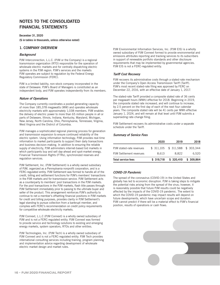# **NOTES TO THE CONSOLIDATED FINANCIAL STATEMENTS**

#### **December 31, 2020**

**(\$ in tables in thousands, unless otherwise noted)**

#### **1. COMPANY OVERVIEW**

#### *Background*

PJM Interconnection, L.L.C. (PJM or the Company) is a regional transmission organization (RTO) responsible for the operation of wholesale electric markets and for centrally dispatching electric systems in the PJM region. PJM's services and the markets PJM operates are subject to regulation by the Federal Energy Regulatory Commission (FERC).

PJM is a limited liability, non-stock company incorporated in the state of Delaware. PJM's Board of Managers is constituted as an independent body, and PJM operates independently from its members.

#### *Nature of Operations*

The Company currently coordinates a pooled generating capacity of more than 185,378 megawatts (MW) and operates wholesale electricity markets with approximately 1,038 members. PJM enables the delivery of electric power to more than 65 million people in all or parts of Delaware, Illinois, Indiana, Kentucky, Maryland, Michigan, New Jersey, North Carolina, Ohio, Pennsylvania, Tennessee, Virginia, West Virginia and the District of Columbia.

PJM manages a sophisticated regional planning process for generation and transmission expansion to ensure continued reliability of the electric system. Using information technology, PJM provides real-time information to market participants to support their daily transactions and business decision-making. In addition to ensuring the reliable supply of electricity, PJM administers internet-based bid markets in which participants buy and sell day-ahead and spot-market energy, Financial Transmission Rights (FTRs), synchronized reserves and regulation services.

PJM Settlement, Inc. (PJM Settlement) is a wholly owned subsidiary of PJM, organized as a Pennsylvania nonprofit corporation, and is a FERC-regulated entity. PJM Settlement was formed to handle all of the credit, billing and settlement functions for PJM's members' transactions in the PJM markets and for transmission service. PJM Settlement acts as a counterparty to members' pool transactions in the PJM markets. For the pool transactions in the PJM markets, flash title passes through PJM Settlement immediately prior to passing to the ultimate buyer and seller of the product. This arrangement reinforces PJM's authority to continue to net a member's offsetting financial positions in PJM markets for credit and billing purposes, provides clarity in PJM Settlement's legal standing to pursue collection from a bankrupt member, and complies with FERC's recommendation on credit policy requirements for competitive wholesale electricity markets.

PJM Connext, L.L.C (PJM Connext) is a wholly owned subsidiary of PJM and is not a FERC-regulated entity. PJM Connext was formed to provide service and technology solutions to existing and emerging energy markets, system operators, RTOs and other entities.

PJM Technologies, Inc. (PJM Tech) is a wholly owned subsidiary of PJM Connext and is not a FERC-regulated entity. PJM Tech provides international consulting services including training, program planning and implementation advice regarding development of wholesale electric market design and market rules.

PJM Environmental Information Services, Inc. (PJM EIS) is a wholly owned subsidiary of PJM Connext formed to provide environmental and emissions attributes reporting and tracking services to its subscribers in support of renewable portfolio standards and other disclosure requirements that may be implemented by governmental agencies. PJM EIS is not a FERC-regulated entity.

#### *Tariff Cost Recovery*

PJM recovers its administrative costs through a stated-rate mechanism under the Company's Open Access Transmission Tariff (Tariff). PJM's most recent stated-rate filing was approved by FERC on December 22, 2016, with an effective date of January 1, 2017.

The stated-rate Tariff provided a composite stated rate of 36 cents per megawatt hours (MWh) effective for 2018. Beginning in 2019, the composite stated rate increased, and will continue to increase, by 2.5 percent on the first day of each of the next four calendar years. The composite stated rate will be 41 cents per MWh effective January 1, 2024, and will remain at that level until PJM submits a superseding rate-change filing.

PJM Settlement recovers its administrative costs under a separate schedule under the Tariff.

#### *Summary of Service Fees*

|                           | 2020      | 2019                             | 2018      |
|---------------------------|-----------|----------------------------------|-----------|
| PJM stated-rate revenues  |           | $$311,105$ $$311,588$ $$303,344$ |           |
| PJM Settlement revenues   | 8.613     | 8.822                            | 6.520     |
| <b>Total service fees</b> | \$319.718 | \$320,410                        | \$309,864 |

#### *COVID-19 Pandemic*

The spread of the coronavirus (COVID-19) in the United States and globally has led to economic disruption. PJM is taking steps to mitigate the potential risks arising from the spread of the virus; however, it is reasonably possible that future PJM results could be negatively affected by the impacts of the COVID-19 pandemic. The extent to which the COVID-19 pandemic may impact results will depend on future developments, which have uncertain scope and duration. PJM cannot predict if there will be a material effect to PJM's financial position, results of operations or cash flows.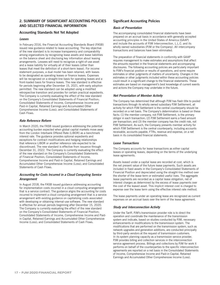#### **2. SUMMARY OF SIGNIFICANT ACCOUNTING POLICIES AND SELECTED FINANCIAL INFORMATION**

#### **Accounting Standards Not Yet Adopted**

#### *Leases*

In February 2016, the Financial Accounting Standards Board (FASB) issued new guidance related to lease accounting. The key objective of the new standard is to increase transparency and comparability among organizations by recognizing lease assets and lease liabilities on the balance sheet and disclosing key information about leasing arrangements. Lessees will need to recognize a right-of-use asset and a lease liability for virtually all of their leases (other than leases that meet the definition of a short-term lease). For income statement purposes, a dual model has been retained, with leases to be designated as operating leases or finance leases. Expenses will be recognized on a straight-line basis for operating leases and a front-loaded basis for finance leases. The new standard is effective for periods beginning after December 15, 2021, with early adoption permitted. The new standard can be adopted using a modified retrospective transition and provides for certain practical expedients. The Company is currently evaluating the effect of the new standard on the Company's Consolidated Statements of Financial Position; Consolidated Statements of Income, Comprehensive Income and Paid-in Capital, Retained Earnings and Accumulated Other Comprehensive Income (Loss); and Consolidated Statements of Cash Flows.

#### *Rate Reference Reform*

In March 2020, the FASB issued guidance addressing the potential accounting burden expected when global capital markets move away from the London Interbank Offered Rate (LIBOR) as a benchmark interest rate. The guidance provides optional expedients and exceptions for contract modifications and hedging relationships that reference LIBOR or another reference rate expected to be discontinued. The new standard is effective from issuance through December 31, 2022. The Company is currently evaluating the effect of the new standard on the Company's Consolidated Statements of Financial Position; Consolidated Statements of Income, Comprehensive Income and Paid-in Capital, Retained Earnings and Accumulated Other Comprehensive Income (Loss); and Consolidated Statements of Cash Flows.

#### *Accounting for Costs Incurred in a Cloud Computing Service Arrangement*

In August 2018, the FASB issued guidance addressing accounting for implementation costs incurred in a cloud computing arrangement that is a service contract. The guidance aligns the accounting for costs incurred to implement a cloud computing arrangement that is a service arrangement with existing guidance on capitalizing costs associated with developing or obtaining internal-use software. The new standard is effective for annual periods beginning after December 15, 2020. The Company is currently evaluating the effect of the new standard on the Company's Consolidated Statements of Financial Position; Consolidated Statements of Income, Comprehensive Income and Paidin Capital, Retained Earnings and Accumulated Other Comprehensive Income (Loss); and Consolidated Statements of Cash Flows.

#### **Significant Accounting Policies**

#### *Basis of Presentation*

The accompanying consolidated financial statements have been prepared on an accrual basis in accordance with generally accepted accounting principles in the United States of America (GAAP) and include the accounts of PJM Interconnection, L.L.C. and its wholly owned subsidiaries (PJM or the Company). All intercompany transactions and balances have been eliminated.

The preparation of financial statements in conformity with GAAP requires management to make estimates and assumptions that affect the amounts reported in the financial statements and accompanying disclosures. The following accounting policies are particularly important to PJM's financial position or results of operations, and some require estimates or other judgments of matters of uncertainty. Changes in the estimates or other judgments included within these accounting policies could result in a significant change to the financial statements. These estimates are based on management's best knowledge of current events and actions the Company may undertake in the future.

#### *Net Presentation of Member Activity*

The Company has determined that although PJM has flash title to pooled transactions through its wholly owned subsidiary PJM Settlement, all activity for which PJM Settlement is the central counterparty should be recorded on a net basis. The Company's determination is based on these facts: (1) the member company, not PJM Settlement, is the primary obligor in each transaction; (2) PJM Settlement earns a fixed amount per transaction; and (3) the member company has the credit risk, not PJM Settlement. As such, the Company presents member activity for which PJM Settlement is the central counterparty, including accounts receivable, accounts payable, FTRs, revenue and expense, on a net basis in its consolidated financial statements.

#### *Lease Transactions*

The Company accounts for lease transactions as either capital leases or operating leases, depending on the terms of the underlying lease agreements.

Assets leased under a capital lease are recorded at cost, which is the net present value of the future lease payments. Such assets are included in fixed assets in the Company's Consolidated Statements of Financial Position and depreciated using the straight-line method over the shorter of the lease term or estimated useful lives. The aggregate lease payments are recorded as a capital lease obligation, net of interest charges as determined by the excess of lease payments over the cost of the leased asset. This implicit interest cost is charged to expense over the lease term using the effective interest rate method.

The lease payments under an operating lease are recognized as current expenses on an accrual basis over the term of the lease agreement.

#### *Study and Interconnection Activity*

Under the Tariff, PJM's transmission provider role is to direct the operation and coordinate the maintenance of the transmission system and indicate, based on studies conducted by PJM, necessary enhancements or modifications to the transmission system. The modifications that are performed on the transmission system, such as network upgrades and generation additions, are conducted principally by third-party vendors at the request of transmission customers. In its system planning capacity as a transmission service provider, PJM provides billing and collection services in the interconnection service agreement process. Billings and collections by PJM for work it performs on behalf of the counterparties to the specific interconnection agreements are reported on a net basis in the Consolidated Statements of Income, Comprehensive Income and Paid-in Capital, Retained Earnings and Accumulated Other Comprehensive Income (Loss).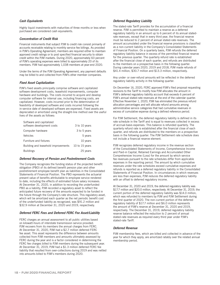#### *Cash Equivalents*

Highly liquid investments with maturities of three months or less when purchased are considered cash equivalents.

#### *Concentration of Credit Risk*

Financial instruments that subject PJM to credit risk consist primarily of accounts receivable relating to monthly service fee billings. As provided in PJM's Operating Agreement, members are required either to maintain approved credit ratings or to post specified financial security to obtain credit within the PJM markets. During 2020, approximately 60 percent of PJM's operating expenses were billed to approximately 20 of its members. PJM had approximately 1,038 members at year-end 2020.

Under the terms of the PJM Operating Agreement, any payment defaults may be billed to and collected from PJM's other member companies.

#### *Fixed Asset Capitalization*

PJM's fixed assets principally comprise software and capitalized software development costs, leasehold improvements, computer hardware and buildings. The costs incurred to acquire and develop computer software for internal use, including financing costs, are capitalized. However, costs incurred prior to the determination of feasibility of developed software and costs incurred following the in-service date of developed software are expensed. Fixed assets are depreciated or amortized using the straight-line method over the useful lives of the assets as follows:

| Software and capitalized<br>software development costs | 3 to 10 years  |
|--------------------------------------------------------|----------------|
| Computer hardware                                      | 3 to 5 years   |
| Vehicles                                               | 5 years        |
| Furniture and fixtures                                 | 10 years       |
| Building and leasehold improvements                    | 10 to 15 years |
| <b>Buildings</b>                                       | 25 years       |

#### *Deferred Recovery of Pension and Postretirement Costs*

The Company recognizes the funding status of the projected benefit obligation (PBO) of its defined benefit pension plan and other postretirement employee benefit plan as liabilities in the Consolidated Statements of Financial Position. The PBO represents the actuarial present value of benefits attributable to employee service rendered to date, including the effects of estimated future salary increases. At December 31, 2020, in addition to recording the underfunded PBO as a liability, PJM recorded a regulatory asset to reflect the anticipated future recovery of the amounts expected to be funded in the future through the Company's rate structure. This regulatory asset, which will be amortized each quarter as the net periodic benefit cost of the underfunded liability as recognized, was \$91.2 million and \$32.9 million at December 31, 2020 and 2019, respectively.

#### *Deferred FERC Fees and Deferred FERC Fee Asset/Liability*

FERC charges an annual assessment to all public utilities based on kilowatt-hours of interstate transmission service provided. PJM recovers from its members the annual charges from FERC. At December 31, 2020, PJM had a \$2.7 million deferred FERC fee asset. This asset represents the difference between amounts collected from PJM members and amounts ultimately assessed by FERC during the year and is a factor considered in determining the FERC fee charges billed to PJM members during the subsequent year. At December 31, 2019, PJM had a \$1.3 million deferred FERC fee liability that resulted from over-collections during 2019 and was netted into amounts billed to PJM's members during 2020.

#### *Deferred Regulatory Liability*

The stated-rate Tariff provides for the accumulation of a financial reserve. PJM is permitted to maintain a reserve as a deferred regulatory liability in an amount up to 6 percent of its annual statedrate revenues, except that in every third year, the financial reserve must be reduced to 2 percent of annual stated-rate revenues. The amount accumulated under the financial reserve provisions is classified as a non-current liability in the Company's Consolidated Statements of Financial Position. On a quarterly basis, PJM refunds the deferred regulatory liability balance in excess of the permitted financial reserve for the previous quarter. The quarterly refund rate is established after the financial close of each quarter, and refunds are distributed to the members on a prospective basis in the following quarter. During calendar years 2020, 2019 and 2018, PJM made refunds of \$41.4 million, \$30.7 million and \$13.3 million, respectively.

Any under- or over-refund amounts will be reflected in the deferred regulatory liability activity in the following quarter.

On December 16, 2020, FERC approved PJM's filed proposal requesting revisions to the Tariff to modify how PJM allocates the amount in PJM's deferred regulatory liability account that exceeds 6 percent of PJM's annual stated-rate revenues at the end of the calendar quarter. Effective November 1, 2020, PJM has eliminated the previous refund allocation percentages and will allocate refund amounts among administrative service categories that had cumulative revenues in excess of cumulative expense during a defined reference period.

For PJM Settlement, the deferred regulatory liability is defined in its rate schedule in the Tariff and is equal to revenues collected in excess of accrual-basis expenses. This balance is refunded quarterly. The quarterly refund rate is established after the financial close of each quarter, and refunds are distributed to the members on a prospective basis in the following quarter. The PJM Settlement rate schedule does not include a financial reserve element.

PJM recognizes deferred regulatory income in the revenue section of the Consolidated Statements of Income, Comprehensive Income and Paid-in Capital, Retained Earnings and Accumulated Other Comprehensive Income (Loss) for the amount by which service fee revenues pursuant to the rate schedules differ from applicable expenses in the reporting period. The amount by which cumulative revenues under the rate schedules exceed cumulative expenses and refunds is reported as a deferred regulatory liability in the Consolidated Statements of Financial Position. In circumstances in which revenues are less than expenses, PJM reduces the deferred regulatory liability with an offset to deferred regulatory income.

At December 31, 2020 and 2019, the deferred regulatory liability was \$17.7 million and \$20.0 million, respectively. At December 31, 2019, the current portion of the deferred regulatory liability was \$14.0 million, which was refunded to members by PJM and PJM Settlement during the first quarter of 2020. The non-current portion of the deferred regulatory liability of \$17.7 million and \$6.0 million represents the amount of PJM's reserve at December 31, 2020 and 2019, respectively. The December 31, 2019, deferred regulatory liability reserve balance reflected the reduction to 2 percent of annual stated-rate revenues as required every third year under PJM's stated-rate Tariff.

#### *Deferred Revenue*

PJM membership fees, which are billed and collected in advance of the year for which they apply, are amortized ratably over the related annual membership period.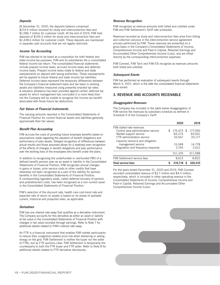#### *Deposits*

At December 31, 2020, the deposits balance comprised \$214.6 million received for study and interconnection fees and \$1,586.7 million for customer credit. At the end of 2019, PJM held deposits of \$159.3 million for study and interconnection fees and \$1,438.6 million for customer credit. These deposits are maintained in separate cash accounts that are not legally restricted.

#### *Income Tax Accounting*

PJM has elected to be taxed as a corporation for both federal and state income tax purposes. PJM and its subsidiaries file a consolidated federal income tax return. The consolidated financial statements include prepaid income taxes, accrued income taxes and deferred income taxes. Prepaid income taxes relate to federal and state overpayments on deposit with taxing authorities. These overpayments will be applied to future federal and state income tax liabilities. Deferred income taxes represent the temporary differences between the Company's financial statement basis and tax basis in existing assets and liabilities measured using presently enacted tax rates. A valuation allowance has been provided against certain deferred tax assets for which management has concluded it is more likely than not the Company will be unable to recognize the income tax benefit associated with those future tax deductions.

#### *Fair Values of Financial Instruments*

The carrying amounts reported in the Consolidated Statements of Financial Position for current financial assets and liabilities generally approximate their fair values.

#### *Benefit Plan Accounting*

PJM accrues the costs of providing future employee benefits based on assumptions made regarding the valuation of benefit obligations and performance of plan assets. Delayed recognition of differences between actual results and those assumed allows for a relatively even recognition of the effects of changes in benefit obligations and plan performance over the working lives of the employees who benefit under the plans.

In addition to recognizing the underfunded or overfunded PBO of a defined benefit pension plan as an asset or liability in the Consolidated Statements of Financial Position, PJM recognizes annual changes in gains or losses, prior service costs or other credits that have otherwise not been recognized as a part of the liability for pension benefits in the Consolidated Statements of Financial Position. A corresponding regulatory asset, called deferred recovery of pension and postretirement costs, has been recognized as a non-current asset in the Consolidated Statements of Financial Position.

PJM's selection of the discount rate, health care cost-trend rate and expected rate of return on assets is based on its review of available current, historical and projected rates, as applicable.

#### *Derivatives*

PJM has one interest rate swap that qualifies as a derivative instrument. The Company accounts for this derivative as either an asset or liability at fair value in the Consolidated Statements of Financial Position with changes in fair value recorded through earnings. Refer to Note 7 for additional details related to PJM's interest rate swap.

An FTR is a financial instrument that enables PJM market participants to reduce their congestion-related price risk when delivering or selling energy on the grid. PJM Settlement is neither the buyer nor the seller of FTRs, but as FTR auctions clear, PJM Settlement is temporarily the counterparty to both the FTR buyer and FTR seller. Refer to Note 8 for additional details related to FTR derivative disclosures.

#### *Revenue Recognition*

PJM recognizes as revenue amounts both billed and unbilled under PJM and PJM Settlement's Tariff rate schedules.

Revenues recorded as study and interconnection fees arise from billing and collection services in the interconnection service agreement process performed by PJM. These revenues are presented on a gross basis in the Company's Consolidated Statements of Income, Comprehensive Income and Paid-in Capital, Retained Earnings and Accumulated Other Comprehensive Income (Loss), and are offset directly by the corresponding interconnection expenses.

PJM Connext, PJM Tech and PJM EIS recognize as revenues amounts both billed and unbilled.

#### *Subsequent Events*

PJM has performed an evaluation of subsequent events through March 4, 2021, which is the date the consolidated financial statements were issued.

#### **3. REVENUE AND ACCOUNTS RECEIVABLE**

#### *Disaggregated Revenues*

The Company has included in the table below disaggregation of PJM service fee revenues by subsidiary schedule as defined in Schedule 9 of the Company's Tariff.

|                                                                                                                                                                                                                        |    | 2020                                           |      | 2019                                           |
|------------------------------------------------------------------------------------------------------------------------------------------------------------------------------------------------------------------------|----|------------------------------------------------|------|------------------------------------------------|
| PJM stated-rate revenues<br>Control area administration service<br>Market support service<br>FTR administration service<br>Capacity resource and obligation<br>management service<br>Regulation and frequency response | £. | 176,473<br>83,273<br>33,567<br>15,048<br>2,744 | - \$ | 177,090<br>83,931<br>33,177<br>14,778<br>2,612 |
|                                                                                                                                                                                                                        |    | 311,105                                        |      | 311,588                                        |
| PJM Settlement service fees                                                                                                                                                                                            |    | 8,613                                          |      | 8,822                                          |
| <b>Total service fees</b>                                                                                                                                                                                              |    | 319,718                                        |      | 320,410                                        |

For the years ended December 31, 2020 and 2019, PJM Connext recorded consolidated revenue of \$3.7 million and \$4.5 million, respectively, which is included in other operating revenue in the Consolidated Statements of Income, Comprehensive Income and Paid-in Capital, Retained Earnings and Accumulated Other Comprehensive Income (Loss).

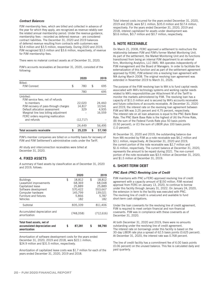#### *Contract Balances*

PJM membership fees, which are billed and collected in advance of the year for which they apply, are recognized as revenue ratably over the related annual membership period. Under the revenue guidance, membership fees – recorded as deferred revenue – are considered contract liabilities. The December 31, 2020 and 2019 balances of deferred revenue resulting from contracts with customers was \$3.4 million and \$3.5 million, respectively. During 2020 and 2019, PJM recognized \$3.5 million and \$3.6 million, respectively, of revenue for PJM membership fees.

There were no material contract assets as of December 31, 2020.

PJM's accounts receivables at December 31, 2020, consisted of the following:

|                                       | 2020      | 2019         |
|---------------------------------------|-----------|--------------|
| Billed:                               |           |              |
| PJM Connext                           | \$<br>780 | \$<br>695    |
|                                       | 780       | 695          |
| Unbilled:                             |           |              |
| PJM service fees, net of refunds      |           |              |
| to members                            | 22,020    | 24.460       |
| PJM recovery of pass-through charges  | 14,817    | 10.541       |
| Default allocation assessment         | 329       | 4,935        |
| Marginal line loss billing adjustment |           | 16.559       |
| FERC orders requiring reallocation    |           |              |
| and refunds                           | (12,717)  |              |
|                                       | 24,449    | 56,495       |
| Total accounts receivable             | 25.229    | \$<br>57,190 |

PJM's member companies are billed on a monthly basis for recovery of PJM and PJM Settlement's administrative costs under the Tariff.

All study and interconnection receivables were billed at December 31, 2020.

#### **4. FIXED ASSETS**

A summary of fixed assets by classification as of December 31, 2020 and 2019, follows:

|                                                                            | 2020         | 2019         |
|----------------------------------------------------------------------------|--------------|--------------|
| <b>Buildings</b>                                                           | \$<br>18,812 | \$<br>18.812 |
| Leasehold improvements                                                     | 68.369       | 68.048       |
| Capitalized lease                                                          | 25.889       | 25.889       |
| Software development                                                       | 570.422      | 553.667      |
| Computer hardware                                                          | 145.799      | 139.021      |
| Furniture and fixtures                                                     | 5,866        | 5,787        |
| Vehicles                                                                   | 182          | 182          |
| Subtotal                                                                   | 835,339      | 811,406      |
| Accumulated depreciation and<br>amortization                               | (748,058)    | (712, 616)   |
| Total fixed assets, net of<br>accumulated depreciation and<br>amortization | \$<br>87.281 | \$<br>98.790 |

Amortization of software development costs for the years ended December 31, 2020, 2019 and 2018, were \$22.1 million, \$24.9 million and \$31.5 million, respectively.

Amortization of capitalized lease costs was \$1.7 million for each of the years ended December 31, 2020, 2019 and 2018.

Total interest costs incurred for the years ended December 31, 2020, 2019 and 2018, were \$7.1 million, \$35.0 million and \$17.4 million, respectively. For the years ended December 31, 2020, 2019 and 2018, interest capitalized for assets under development was \$0.6 million, \$0.7 million and \$0.7 million, respectively.

#### **5. NOTE RECEIVABLE**

On March 21, 2008, FERC approved a settlement to restructure the relationship between PJM and PJM's former Market Monitoring Unit. As part of the settlement, the Market Monitoring Unit and its functions transitioned from being an internal PJM department to an external firm, Monitoring Analytics, LLC (MA). MA operates independently of PJM management and the Board of Managers. In order to facilitate the externalization of this function and as part of the settlement agreement approved by FERC, PJM entered into a revolving loan agreement with MA during March 2008. The original revolving loan agreement was extended in November 2019 to March 31, 2026.

The purpose of the PJM revolving loan to MA is to fund capital needs associated with MA's technology systems and working capital needs related to MA's responsibilities per Attachment M of the Tariff to monitor the markets administered by PJM. The revolving loan has a capacity of \$11.0 million and is secured by MA's accounts receivable and future collections of accounts receivable. At December 31, 2020 and 2019, the interest rate on the revolving loan agreement between PJM and MA was 3.25 percent and 4.75 percent, respectively. The interest rate on all loan advances is equal to the PNC Bank Base Rate. The PNC Bank Base Rate is the highest of (A) the Prime Rate, (B) the sum of the Federal Funds Rate plus 50 basis points (0.50 percent), or (C) the sum of LIBOR plus 100 basis points (1.0 percent).

At December 31, 2020 and 2019, the outstanding balance due from MA recorded by PJM as a note receivable was \$6.2 million and \$3.1 million, respectively. At December 31, 2020 and 2019, the current portion of the note receivable was \$2.7 million and \$1.6 million, respectively. The current balance at December 31, 2020, represents the amount to be repaid during 2021. The non-current portion of the note receivable was \$3.5 million at December 31, 2020, and \$1.5 million at December 31, 2019.

#### **6. SHORT-TERM DEBT**

#### *PNC Bank (PNC) Revolving Line of Credit*

PJM maintains with PNC a FERC-approved revolving line of credit agreement with a capacity amount of \$150 million. PJM received approval from FERC on January 13, 2020, to continue to borrow under this facility through January 31, 2022. On January 24, 2020, the extension in term to the facility was executed with PNC. The revolving line of credit is unsecured and available to fund short-term cash obligations.

Under the loan covenants for the revolving line of credit agreement, PJM is required to meet certain financial and non-financial covenants. PJM was in compliance with these covenants as of December 31, 2020.

At both December 31, 2020 and 2019, there were no amounts outstanding under the revolving line of credit agreement. The interest rate on borrowings under this facility is based on the 30-day LIBOR rate plus a spread of 62.5 basis points (0.625 percent). At December 31, 2020, the interest rate was 0.768 percent.

The line of credit facility has a commitment fee of 6.00 basis points (0.06 percent) on the unused balance. This fee is calculated daily and paid quarterly.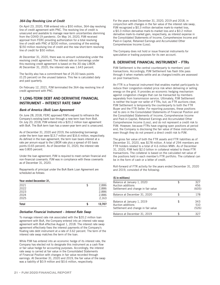#### *364-Day Revolving Line of Credit*

On April 23, 2020, PJM entered into a \$50 million, 364-day revolving line of credit agreement with PNC. The revolving line of credit is unsecured and available to manage near-term uncertainties stemming from the COVID-19 pandemic. On May 14, 2020, PJM received approval from FERC providing authorization for a total revolving line of credit with PNC of \$200 million, consisting of the existing \$150 million revolving line of credit and the new short-term revolving line of credit for \$50 million.

At December 31, 2020, there was no amount outstanding under the revolving credit agreement. The interest rate on borrowings under this revolving credit agreement is based on the 30-day LIBOR. At December 31, 2020, the interest rate was 1.643 percent.

The facility also has a commitment fee of 25.00 basis points (0.25 percent) on the unused balance. This fee is calculated daily and paid quarterly.

On February 12, 2021, PJM terminated the 364-day revolving line of credit agreement with PNC.

#### **7. LONG-TERM DEBT AND DERIVATIVE FINANCIAL INSTRUMENT – INTEREST RATE SWAP**

#### *Bank of America (BoA) Loan Agreement*

On June 28, 2018, FERC approved PJM's request to refinance the Company's existing bank loan through a new term loan from BoA. On July 20, 2018, PJM entered into a \$20.2 million loan agreement with BoA. The BoA term loan has a seven-year term and is unsecured.

As of December 31, 2020 and 2019, the outstanding borrowings under the term loan were \$13.7 million and \$16.6 million, respectively. As defined in the loan agreement, the term loan bears interest at a rate per annum equal to the LIBOR rate plus a spread of 65 basis points (0.65 percent). As of December 31, 2020, the interest rate was 0.805 percent.

Under the loan agreement, PJM is required to meet certain financial and non-financial covenants. PJM was in compliance with these covenants as of December 31, 2020.

Repayments of principal under the BoA Bank Loan Agreement are scheduled as follows:

#### **Year ended December 31,**

| <b>Total</b> | 13,707      |
|--------------|-------------|
| 2025         | 2,163       |
| 2024         | 2,886       |
| 2023         | 2,886       |
| 2022         | 2,886       |
| 2021         | \$<br>2,886 |

#### *Derivative Financial Instrument – Interest Rate Swap*

To manage interest rate risk associated with the \$20.2 million loan agreement with BoA, the Company entered into an interest rate swap agreement with BoA effective August 1, 2018. The interest rate swap agreement effectively fixes the interest payments of the Company's floating rate debt instrument at a rate of 3.62 percent. The term of the interest rate swap matches the term of the loan.

While PJM has entered into an economic hedge of its interest rate, the Company has elected not to designate this instrument as a cash flow or fair value hedge for accounting purposes. Accordingly, the interest rate swap is carried at fair value in the Consolidated Statements of Financial Position with changes in fair value recorded through earnings. At December 31, 2020 and 2019, the fair value of the swap was a liability of \$0.9 million and \$0.6 million, respectively.

For the years ended December 31, 2020, 2019 and 2018, in conjunction with changes in the fair value of the interest rate swap, PJM recognized a \$0.3 million derivative mark-to-market loss, a \$0.3 million derivative mark-to-market loss and a \$0.2 million derivative mark-to-market gain, respectively, as interest expense in the Consolidated Statements of Income, Comprehensive Income and Paid-in Capital, Retained Earnings and Accumulated Other Comprehensive Income (Loss).

The Company does not hold or issue financial instruments for speculative or trading purposes for its own account.

#### **8. DERIVATIVE FINANCIAL INSTRUMENT – FTRs**

PJM Settlement is the central counterparty to members' pool transactions. Accordingly, PJM Settlement has flash title pass through it when markets settle and as charges/credits are assessed on pool transactions.

An FTR is a financial instrument that enables market participants to reduce their congestion-related price risk when delivering or selling energy on the grid. It provides an economic hedging mechanism against congestion charges that can be transacted by members separately from transmission service. Ultimately, PJM Settlement is neither the buyer nor seller of FTRs, but, as FTR auctions clear, PJM Settlement is temporarily the counterparty to both the FTR Buyer and the FTR Seller. For reporting purposes, these positions net to zero in the Consolidated Statements of Financial Position and the Consolidated Statements of Income, Comprehensive Income and Paid-in Capital, Retained Earnings and Accumulated Other Comprehensive Income (Loss), and do not represent a credit risk to PJM. However, because FTRs have ongoing open positions at period end, the Company is disclosing the fair value of these instruments, even though they do not present a direct credit risk to PJM.

The gross fair value of both the FTR assets and FTR liabilities as of December 31, 2020, was \$178 million. A total of 294 members are FTR holders related to a total of 4.6 million MWh. As of December 31, 2020, PJM held \$2.0 billion in collateral related to these FTR transactions. The collateral is based on the calculated net value of the positions held in each member's FTR portfolio. The collateral can be in the form of cash or a letter of credit.

Roll-forward of FTR activity for the years ended December 31, 2020 and 2019, consisted of the following:

#### **(\$ in millions)**

| Balance at January 1, 2020<br>Auction additions<br>Settlement and change in fair value |   | 327<br>456<br>(605) |
|----------------------------------------------------------------------------------------|---|---------------------|
| Balance at December 31, 2020                                                           |   | 178                 |
| Balance at January 1, 2019<br>Auction additions<br>Settlement and change in fair value | ፍ | 343<br>510<br>(526) |
| Balance at December 31, 2019                                                           |   | 327                 |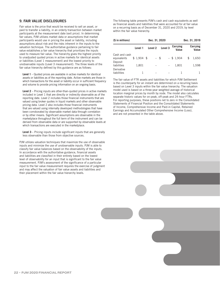#### **9. FAIR VALUE DISCLOSURES**

Fair value is the price that would be received to sell an asset, or paid to transfer a liability, in an orderly transaction between market participants at the measurement date (exit price). In determining fair values, PJM utilizes market data or assumptions that market participants would use in pricing the asset or liability, including assumptions about risk and the risks inherent in the inputs to the valuation technique. The authoritative guidance pertaining to fair value establishes a fair value hierarchy that prioritizes the inputs used to measure fair value. The hierarchy gives the highest priority to unadjusted quoted prices in active markets for identical assets or liabilities (Level 1 measurement) and the lowest priority to unobservable inputs (Level 3 measurement). The three levels of the fair value hierarchy defined by this guidance are as follows:

**Level 1** – Quoted prices are available in active markets for identical assets or liabilities as of the reporting date. Active markets are those in which transactions for the asset or liability occur in sufficient frequency and volume to provide pricing information on an ongoing basis.

**Level 2** – Pricing inputs are other-than-quoted prices in active markets included in Level 1 that are directly or indirectly observable as of the reporting date. Level 2 includes those financial instruments that are valued using broker quotes in liquid markets and other observable pricing data. Level 2 also includes those financial instruments that are valued using internally developed methodologies that have been corroborated by observable market data through correlation or by other means. Significant assumptions are observable in the marketplace throughout the full term of the instrument and can be derived from observable data or are supported by observable levels at which transactions are executed in the marketplace.

**Level 3** – Pricing inputs include significant inputs that are generally less observable than those from objective sources.

PJM utilizes valuation techniques that maximize the use of observable inputs and minimize the use of unobservable inputs. PJM is able to classify fair value balances based on the observability of the inputs. In accordance with the authoritative guidance, financial assets and liabilities are classified in their entirety based on the lowest level of observability for an input that is significant to the fair value measurement. PJM's assessment of the significance of a particular input to the fair value measurement requires the exercise of judgment and may affect the valuation of fair value assets and liabilities and their placement within the fair value hierarchy levels.

The following table presents PJM's cash and cash equivalents as well as financial assets and liabilities that were accounted for at fair value on a recurring basis as of December 31, 2020 and 2019, by level within the fair value hierarchy.

| (\$ in millions)             |             | Dec. 31, 2020      |                    |                          |                   |  |  |  |  |  |
|------------------------------|-------------|--------------------|--------------------|--------------------------|-------------------|--|--|--|--|--|
|                              | Level 1     | Level <sub>2</sub> | Level <sub>3</sub> | <b>Carrying</b><br>Value | Carrying<br>Value |  |  |  |  |  |
| Cash and cash<br>equivalents | $$1,904$ \$ |                    | - \$               | $-$ \$ 1.904             | \$<br>1.650       |  |  |  |  |  |
| Deposit<br>liabilities       | 1,801       |                    |                    | 1.801                    | 1.598             |  |  |  |  |  |
| Derivative<br>liabilities    |             |                    |                    |                          |                   |  |  |  |  |  |

The fair value of FTR assets and liabilities for which PJM Settlement is the counterparty for an instant are determined on a recurring basis based on Level 3 inputs within the fair value hierarchy. The valuation model used is based on a three-year weighted average of historical location marginal prices by month by node. The model also calculates separate historic values for on-peak, off-peak and 24-hour FTRs. For reporting purposes, these positions net to zero in the Consolidated Statements of Financial Position and the Consolidated Statements of Income, Comprehensive Income and Paid-in Capital, Retained Earnings and Accumulated Other Comprehensive Income (Loss), and are not presented in the table above.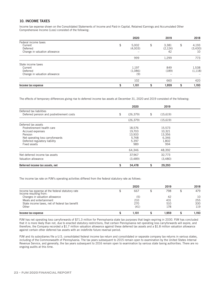#### **10. INCOME TAXES**

Income tax expense shown on the Consolidated Statements of Income and Paid-in Capital, Retained Earnings and Accumulated Other Comprehensive Income (Loss) consisted of the following:

|                                                                              |    | 2020                  |    | 2019                   | 2018                         |
|------------------------------------------------------------------------------|----|-----------------------|----|------------------------|------------------------------|
| Federal income taxes<br>Current<br>Deferred<br>Change in valuation allowance | \$ | 5,002<br>(4,003)<br>- | \$ | 3,381<br>(2,124)<br>42 | \$<br>4,193<br>(3,430)<br>10 |
|                                                                              |    | 999                   |    | 1,299                  | 773                          |
| State income taxes                                                           |    |                       |    |                        |                              |
| Current                                                                      |    | 1,197                 |    | 849                    | 1,538                        |
| Deferred                                                                     |    | (1,086)               |    | (189)                  | (1, 118)                     |
| Change in valuation allowance                                                |    | (9)                   |    |                        |                              |
|                                                                              |    | 102                   |    | 660                    | 420                          |
| Income tax expense                                                           | ቍ  | 1,101                 | œ  | 1,959                  | \$<br>1,193                  |

The effects of temporary differences giving rise to deferred income tax assets at December 31, 2020 and 2019 consisted of the following:

|                                           | 2020            | 2019           |  |
|-------------------------------------------|-----------------|----------------|--|
| Deferred tax liabilities                  |                 |                |  |
| Deferred pension and postretirement costs | \$<br>(26, 379) | \$<br>(15,619) |  |
|                                           | (26, 379)       | (15,619)       |  |
| Deferred tax assets                       |                 |                |  |
| Postretirement health care                | 18,576          | 15,573         |  |
| Accrued expenses                          | 19,703          | 10,321         |  |
| Pension                                   | 13,933          | 13,356         |  |
| Net operating loss carryforwards          | 5,748           | 6,346          |  |
| Deferred regulatory liability             | 5,397           | 1,802          |  |
| Fixed assets                              | 989             | 994            |  |
|                                           | 64,346          | 48,392         |  |
| Net deferred income tax assets            | 37,967          | 32,773         |  |
| Valuation allowance                       | (3,489)         | (3,480)        |  |
| Deferred income tax assets, net           | \$<br>34,478    | \$<br>29,293   |  |

The income tax rate on PJM's operating activities differed from the federal statutory rate as follows:

|                                                                            | 2020  | 2019  | 2018  |
|----------------------------------------------------------------------------|-------|-------|-------|
| Income tax expense at the federal statutory rate<br>Income resulting from: | 667   | 798   | 479   |
| Changes in valuation allowance                                             | (5)   | 42    | 10    |
| Meals and entertainment                                                    | 210   | 431   | 255   |
| State income taxes, net of federal tax benefit                             | 270   | 510   | 330   |
| Other                                                                      | (41)  | 178   | 119   |
| Income tax expense                                                         | 1.101 | 1.959 | 1.193 |

PJM has net operating loss carryforwards of \$71.3 million for Pennsylvania state tax purposes that begin expiring in 2030. PJM has concluded that it is more likely than not, due to enacted statutory restrictions, that certain Pennsylvania net operating loss carryforwards will expire, and therefore, the Company recorded a \$1.7 million valuation allowance against these deferred tax assets and a \$1.8 million valuation allowance against certain other deferred tax assets with an indefinite future reversal period.

PJM and its subsidiaries file a U.S. consolidated federal income tax return and consolidated or separate company tax returns in various states, including of the Commonwealth of Pennsylvania. The tax years subsequent to 2015 remain open to examination by the United States Internal Revenue Service, and generally, the tax years subsequent to 2016 remain open to examination by various state taxing authorities. There are no ongoing audits at this time.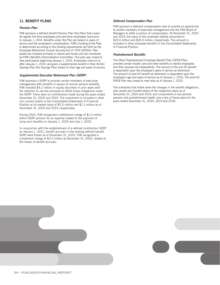#### **11. BENEFIT PLANS**

#### *Pension Plan*

PJM sponsors a defined benefit Pension Plan (the Plan) that covers all regular full-time employees and part-time employees hired prior to January 1, 2014. Benefits under the Plan are based on years of service and the employee's compensation. PJM's funding of the Plan is determined according to the funding requirements set forth by the Employee Retirement Income Security Act of 1974 (ERISA). Plan assets are invested primarily in stocks and bonds and are monitored by PJM's Benefits Administration Committee. This plan was closed to new participants beginning January 1, 2014. Employees hired on or after January 1, 2014, are given a supplemental benefit in their 401(k) Savings Plan (the Savings Plan) based on their age and years of service.

#### *Supplemental Executive Retirement Plan (SERP)*

PJM sponsors a SERP to provide certain members of executive management with benefits in excess of normal pension benefits. PJM invested \$4.2 million in equity securities in prior years with the intention to use the proceeds to offset future obligations under the SERP. There were no contributions made during the years ended December 31, 2020 and 2019. The investment is included in other non-current assets in the Consolidated Statements of Financial Position at its market value of \$0.5 million and \$1.1 million as of December 31, 2020 and 2019, respectively.

During 2020, PJM recognized a settlement charge of \$1.0 million within SERP pension for an expense related to the payment of lump-sum benefits on January 1, 2020 and July 1, 2020.

In conjunction with the establishment of a defined contribution SERP on January 1, 2021, benefit accruals in the existing defined benefit SERP were frozen as of December 31, 2020. PJM recognized a curtailment charge of \$0.2 million at December 31, 2020, related to the freeze of benefit accruals.

#### *Deferred Compensation Plan*

PJM sponsors a deferred compensation plan to provide an opportunity to certain members of executive management and the PJM Board of Managers to defer a portion of compensation. At December 31, 2020 and 2019, the value of this employee liability amounted to \$25.6 million and \$24.3 million, respectively. This amount is included in other employee benefits in the Consolidated Statements of Financial Position.

#### *Postretirement Benefits*

The Other Postretirement Employee Benefit Plan (OPEB Plan) provides certain health care and other benefits to retired employees and their spouses and dependents. The amount of the pre-65 benefit is dependent upon the employee's years of service at retirement. The amount of post-65 benefit at retirement is dependent upon the employee's age and years of service as of January 1, 2016. The post-65 OPEB Plan was closed to new hires as of January 1, 2010.

The schedules that follow show the changes in the benefit obligations, plan assets and funded status of the respective plans as of December 31, 2020 and 2019, and components of net periodic pension and postretirement health care costs of these plans for the years ended December 31, 2020, 2019 and 2018.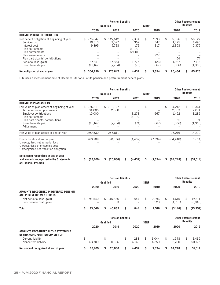|                                                             | <b>Pension Benefits</b> |                                  |    |              |    |              |    | <b>Other Postretirement</b> |    |                 |  |
|-------------------------------------------------------------|-------------------------|----------------------------------|----|--------------|----|--------------|----|-----------------------------|----|-----------------|--|
|                                                             | Qualified               |                                  |    | <b>SERP</b>  |    |              |    | <b>Benefits</b>             |    |                 |  |
|                                                             | 2020                    | 2019                             |    | 2020         |    | 2019         |    | 2020                        |    | 2019            |  |
| <b>CHANGE IN BENEFIT OBLIGATION</b>                         |                         |                                  |    |              |    |              |    |                             |    |                 |  |
| Net benefit obligation at beginning of year<br>Service cost | \$ 276,847<br>10,813    | 227.612<br>$\mathbb{S}$<br>9,577 | \$ | 7.394<br>369 | \$ | 7.293<br>347 | \$ | 65,826<br>1.795             | \$ | 56.127<br>1,493 |  |
| Interest cost                                               | 9,895                   | 9.728                            |    | 172          |    | 317          |    | 2.358                       |    | 2.379           |  |
| Plan settlements                                            |                         | $\hspace{0.1mm}-\hspace{0.1mm}$  |    | (3.199)      |    |              |    |                             |    |                 |  |
| Plan curtailments                                           | -                       |                                  |    | (2,001)      |    |              |    |                             |    |                 |  |
| Plan amendments                                             |                         |                                  |    |              |    | 227          |    |                             |    |                 |  |
| Plan participants' contributions                            |                         |                                  |    |              |    |              |    | 54                          |    | 74              |  |
| Actuarial loss (gain)                                       | 67.851                  | 37.684                           |    | 1.775        |    | (123)        |    | 11.937                      |    | 7,113           |  |
| Gross benefits paid                                         | (11,167)                | (7.754)                          |    | (73)         |    | (667)        |    | (1,506)                     |    | (1,360)         |  |
| Net obligation at end of year                               | 354.239                 | 276.847<br>S.                    | \$ | 4,437        | \$ | 7.394        | \$ | 80.464                      | \$ | 65,826          |  |

PJM uses a measurement date of December 31 for all of its pension and postretirement benefit plans.

|                                                                                                                                                                                                              | <b>Pension Benefits</b>                       |                                    |    |                          |             |              |                                                 | <b>Other Postretirement</b>                     |
|--------------------------------------------------------------------------------------------------------------------------------------------------------------------------------------------------------------|-----------------------------------------------|------------------------------------|----|--------------------------|-------------|--------------|-------------------------------------------------|-------------------------------------------------|
|                                                                                                                                                                                                              | Qualified                                     |                                    |    |                          | <b>SERP</b> |              |                                                 | <b>Benefits</b>                                 |
|                                                                                                                                                                                                              | 2020                                          | 2019                               |    | 2020                     |             | 2019         | 2020                                            | 2019                                            |
| <b>CHANGE IN PLAN ASSETS</b>                                                                                                                                                                                 |                                               |                                    |    |                          |             |              |                                                 |                                                 |
| Fair value of plan assets at beginning of year<br>Actual return on plan assets<br><b>Employer contributions</b><br>Plan settlements<br>Plan participants' contributions<br>Gross benefits paid<br>Adjustment | 256,811<br>\$<br>34,886<br>10,000<br>(11,167) | 212,197<br>\$<br>52,368<br>(7,754) | \$ | 3,273<br>(3,199)<br>(74) | \$          | 667<br>(667) | \$<br>14,212<br>2,003<br>1,452<br>55<br>(1,506) | 11,341<br>\$<br>2,871<br>1,286<br>74<br>(1,360) |
| Fair value of plan assets at end of year                                                                                                                                                                     | 290,530                                       | 256,811                            |    |                          |             |              | 16,216                                          | 14,212                                          |
| Funded status at end of year<br>Unrecognized net actuarial loss<br>Unrecognized prior service cost<br>Unrecognized net transition obligation                                                                 | (63,709)                                      | (20,036)                           |    | (4, 437)                 |             | (7, 394)     | (64, 248)                                       | (51, 614)                                       |
| Net amount recognized at end of year<br>and amounts recognized in the Statements<br>of Financial Position                                                                                                    | (63,709)<br>S                                 | (20, 036)<br>S                     | S  | (4, 437)                 | S           | (7, 394)     | (64, 248)<br>S.                                 | (51, 614)<br>S                                  |

|                                                                     | <b>Pension Benefits</b> |           |              |        |    |             |    |              | <b>Other Postretirement</b> |                  |   |                     |  |
|---------------------------------------------------------------------|-------------------------|-----------|--------------|--------|----|-------------|----|--------------|-----------------------------|------------------|---|---------------------|--|
|                                                                     |                         | Qualified |              |        |    | <b>SERP</b> |    |              |                             | <b>Benefits</b>  |   |                     |  |
|                                                                     |                         | 2020      |              | 2019   |    | 2020        |    | 2019         |                             | 2020             |   | 2019                |  |
| AMOUNTS RECOGNIZED IN DEFERRED PENSION<br>AND POSTRETIREMENT COSTS: |                         |           |              |        |    |             |    |              |                             |                  |   |                     |  |
| Net actuarial loss (gain)<br>Prior service cost (gain)              | S.                      | 93,540    | $\mathbb{S}$ | 45,836 | \$ | 844         | \$ | 2,296<br>220 | \$                          | 1,615<br>(4,761) | S | (9, 311)<br>(6,048) |  |
| Total                                                               |                         | 93.540    |              | 45,839 |    | 844         | \$ | 2.516        | \$                          | (3,146)          |   | (15, 359)           |  |
|                                                                     |                         |           |              |        |    |             |    |              |                             |                  |   |                     |  |

|                                                                          | <b>Pension Benefits</b>     |  |                                    |  |              |    | <b>Other Postretirement</b> |                       |  |                 |
|--------------------------------------------------------------------------|-----------------------------|--|------------------------------------|--|--------------|----|-----------------------------|-----------------------|--|-----------------|
|                                                                          | Qualified                   |  |                                    |  | <b>SERP</b>  |    |                             | <b>Benefits</b>       |  |                 |
|                                                                          | 2020                        |  | 2019                               |  | 2020         |    | 2019                        | 2020                  |  | 2019            |
| AMOUNTS RECOGNIZED IN THE STATEMENT<br>OF FINANCIAL POSITION CONSIST OF: |                             |  |                                    |  |              |    |                             |                       |  |                 |
| Current liability<br>Noncurrent liability                                | $\qquad \qquad -$<br>63.709 |  | $\overline{\phantom{m}}$<br>20.036 |  | 288<br>4.149 | \$ | 3.044<br>4.350              | \$<br>1.548<br>62.700 |  | 1.439<br>50.175 |
| Net amount recognized at end of year                                     | 63.709                      |  | 20,036                             |  | 4.437        |    | 7.394                       | 64.248                |  | 51.614          |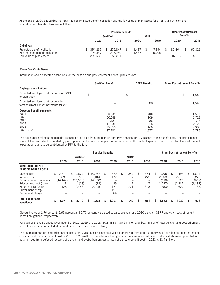At the end of 2020 and 2019, the PBO, the accumulated benefit obligation and the fair value of plan assets for all of PJM's pension and postretirement benefit plans are as follows:

|                                                                                             | <b>Pension Benefits</b><br>Qualified<br><b>SERP</b> |    |                               |  |                |  |                | <b>Other Postretirement</b><br><b>Benefits</b> |                  |
|---------------------------------------------------------------------------------------------|-----------------------------------------------------|----|-------------------------------|--|----------------|--|----------------|------------------------------------------------|------------------|
|                                                                                             | 2020                                                |    | 2019                          |  | 2020           |  | 2019           | 2020                                           | 2019             |
| End of year                                                                                 |                                                     |    |                               |  |                |  |                |                                                |                  |
| Projected benefit obligation<br>Accumulated benefit obligation<br>Fair value of plan assets | \$354,239<br>274.347<br>290.530                     | \$ | 276.847<br>215,280<br>256.811 |  | 4.437<br>4.437 |  | 7.394<br>5.905 | 80.464<br>16.216                               | 65,826<br>14.213 |

#### *Expected Cash Flows*

Information about expected cash flows for the pension and postretirement benefit plans follows:

|                                                                                | <b>Qualified Benefits</b> | <b>SERP Benefits</b> | <b>Other Postretirement Benefits</b> |        |  |
|--------------------------------------------------------------------------------|---------------------------|----------------------|--------------------------------------|--------|--|
| <b>Employer contributions</b>                                                  |                           |                      |                                      |        |  |
| Expected employer contributions for 2021<br>to plan trusts                     | \$                        | \$                   | \$                                   | 1,548  |  |
| Expected employer contributions in<br>form of direct benefit payments for 2021 |                           | 288                  |                                      | 1,548  |  |
| <b>Expected benefit payments</b>                                               |                           |                      |                                      |        |  |
| 2021                                                                           | 8.341                     | 288                  |                                      | 1.548  |  |
| 2022                                                                           | 10.149                    | 309                  |                                      | 1.726  |  |
| 2023                                                                           | 11,181                    | 286                  |                                      | 1,913  |  |
| 2024                                                                           | 11.936                    | 326                  |                                      | 2,122  |  |
| 2025                                                                           | 13,655                    | 460                  |                                      | 2,389  |  |
| 2026-2031                                                                      | 87.482                    | 1.677                |                                      | 15.789 |  |

The table above reflects the benefits expected to be paid from the plan or from PJM's assets for PJM's share of the benefit cost. The participants' share of the cost, which is funded by participant contributions to the plan, is not included in this table. Expected contributions to plan trusts reflect expected amounts to be contributed by PJM to the fund.

|                                                                                                                  | <b>Pension Benefits</b>                      |                                                    |                                                |    |                         |    |                   | <b>Other Postretirement Benefits</b> |                          |    |                                            |    |                                             |                                                  |
|------------------------------------------------------------------------------------------------------------------|----------------------------------------------|----------------------------------------------------|------------------------------------------------|----|-------------------------|----|-------------------|--------------------------------------|--------------------------|----|--------------------------------------------|----|---------------------------------------------|--------------------------------------------------|
|                                                                                                                  |                                              | Qualified                                          |                                                |    |                         |    | <b>SERP</b>       |                                      |                          |    |                                            |    |                                             |                                                  |
|                                                                                                                  | 2020                                         | 2019                                               | 2018                                           |    | 2020                    |    | 2019              |                                      | 2018                     |    | 2020                                       |    | 2019                                        | 2018                                             |
| <b>COMPONENT OF NET</b><br><b>PERIODIC BENEFIT COST</b>                                                          |                                              |                                                    |                                                |    |                         |    |                   |                                      |                          |    |                                            |    |                                             |                                                  |
| Service cost<br>Interest cost<br>Expected return on assets<br>Prior service cost (gain)<br>Actuarial loss (gain) | \$10.812<br>9.895<br>(16, 167)<br>3<br>1,428 | 9.577<br>\$<br>9.728<br>(13, 333)<br>(18)<br>2,458 | \$10.957<br>9.014<br>(14,880)<br>(18)<br>2.205 | \$ | 370<br>172<br>29<br>171 | \$ | 347<br>317<br>271 | \$                                   | 364<br>272<br>348        | \$ | 1.795<br>2.358<br>(910)<br>(1.287)<br>(83) | \$ | 1.493<br>2.379<br>(726)<br>(1.287)<br>(627) | \$<br>1,694<br>2,279<br>(667)<br>(1,287)<br>(83) |
| Curtailment charge<br>Settlement charge                                                                          | $\overline{\phantom{m}}$                     | -                                                  | -                                              |    | 191<br>1,064            |    | -                 |                                      | $\overline{\phantom{m}}$ |    | -                                          |    | $\overline{\phantom{0}}$                    |                                                  |
| Total net periodic<br>benefit cost                                                                               | 5,971<br>\$                                  | 8,412<br>\$                                        | 7,278<br>S                                     | \$ | 1,997                   | \$ | 942               | S                                    | 991                      | \$ | 1,873                                      | \$ | 1,232                                       | \$<br>1,936                                      |

Discount rates of 2.76 percent, 2.69 percent and 2.70 percent were used to calculate year-end 2020 pension, SERP and other postretirement benefit obligations, respectively.

For each of the years ended December 31, 2020, 2019 and 2018, \$0.8 million, \$0.6 million and \$0.7 million of total pension and postretirement benefits expense were included in capitalized project costs, respectively.

The estimated net loss and prior service costs for PJM's pension plans that will be amortized from deferred recovery of pension and postretirement costs into net periodic benefit cost in 2021 is \$2.8 million. The estimated net gain and prior service credits for PJM's postretirement plan that will be amortized from deferred recovery of pension and postretirement costs into net periodic benefit cost in 2021 is \$1.4 million.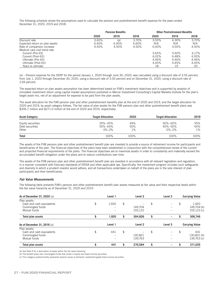The following schedule shows the assumptions used to calculate the pension and postretirement benefit expense for the years ended December 31, 2020, 2019 and 2018.

|                                |       | <b>Pension Benefits</b> | <b>Other Postretirement Benefits</b> |       |       |       |
|--------------------------------|-------|-------------------------|--------------------------------------|-------|-------|-------|
|                                | 2020  | 2019                    | 2018                                 | 2020  | 2019  | 2018  |
| Discount rate                  | 3.65% | (a)                     | 3.70%                                | 3.55% | 4.30% | 3.70% |
| Expected return on plan assets | 6.40% | 6.40%                   | 6.60%                                | N/A   | N/A   | N/A   |
| Rate of comparison increase    | 4.50% | 4.50%                   | 4.50%                                | 6.40% | 4.50% | 4.50% |
| Medical care cost trend rate   |       |                         |                                      |       |       |       |
| Current (Pre-65)               |       |                         |                                      | 5.65% | 5.92% | 6.17% |
| Current (Post-65)              |       |                         |                                      | 6.02% | 6.48% | 6.93% |
| Ultimate (Pre-65)              |       |                         |                                      | 4.46% | 4.46% | 4.46% |
| Ultimate (Post-65)             |       |                         |                                      | 4.45% | 4.45% | 4.45% |
| Years to ultimate              |       |                         |                                      | 18    | 19    | 20    |

(a) – Pension expense for the SERP for the period January 1, 2020 through June 30, 2020, was calculated using a discount rate of 3.55 percent, from July 1, 2020 through December 30, 2020, using a discount rate of 3.00 percent and on December 31, 2020, using a discount rate of 2.69 percent.

The expected return on plan assets assumption has been determined based on PJM's investment objectives and is supported by analysis of simulated investment return using capital market assumptions published in Mercer Investment Consulting's Capital Markets Outlook for the plan's target asset mix, net of an adjustment for expense to be paid from the plan assets.

The asset allocation for the PJM pension plan and other postretirement benefits plan at the end of 2020 and 2019, and the target allocation for 2020 and 2019, by asset category follows. The fair value of plan assets for the PJM pension plan and other postretirement benefit plans was \$306.7 million and \$271.0 million at the end of 2020 and 2019, respectively.

| <b>Asset Category</b>                         | <b>Target Allocation</b>                | 2020                | <b>Target Allocation</b>          | 2019                |
|-----------------------------------------------|-----------------------------------------|---------------------|-----------------------------------|---------------------|
| Equity securities<br>Debt securities<br>Other | $35\% - 45\%$<br>55%-65%<br>$0\% - 2\%$ | 49%<br>50%<br>$1\%$ | 50%-60%<br>40%-50%<br>$0\% - 2\%$ | 55%<br>44%<br>$1\%$ |
| <b>Total</b>                                  | 100%                                    | 100%                | 100%                              | 100%                |

The assets of the PJM pension plan and other postretirement benefit plan are invested to provide a source of retirement income for participants and beneficiaries of the plan. The financial objectives of the plans have been established in conjunction with the comprehensive review of the current and projected financial requirements of the plans. The financial objectives are to maximize assets in order to consistently and materially exceed the accumulated benefit obligation under the plans and to reduce contributions over time.

The assets of the PJM pension plan and other postretirement benefit plan are invested in accordance with all relevant legislation and regulation, in a manner consistent with fiduciary standards of ERISA and other applicable law. Specifically, the investment program includes such safeguards and diversity to which a prudent investor would adhere, and all transactions undertaken on behalf of the plans are in the sole interest of plan participants and their beneficiaries.

#### *Fair Value Measurements*

The following table presents PJM's pension and other postretirement benefit plan assets measured at fair value and their respective levels within the fair value hierarchy as of December 31, 2020 and 2019:

| As of December 31, 2020 (a)                                                   | Level 1     | Level 2                  | Level 3                        | <b>Carrying Value</b>                   |
|-------------------------------------------------------------------------------|-------------|--------------------------|--------------------------------|-----------------------------------------|
| Plan assets:<br>Cash and cash equivalents<br>Commingled funds<br>Mutual funds | \$<br>1.920 | \$<br>149.704<br>155.122 | \$<br>$\overline{\phantom{0}}$ | \$<br>1.920<br>149,704(b)<br>155,122(c) |
| Total plan assets                                                             | \$<br>1.920 | \$<br>304.826            | \$<br>$\qquad \qquad$          | 306,746                                 |
| As of December 31, 2019 (a)                                                   | Level 1     | Level 2                  | Level 3                        | <b>Carrying Value</b>                   |
| Plan assets:<br>Cash and cash equivalents<br>Commingled funds<br>Mutual funds | \$<br>441   | \$<br>130.821<br>139,763 | \$<br>$\overline{\phantom{0}}$ | \$<br>441<br>130,821(b)<br>139,763(c)   |
| Total plan assets                                                             | \$<br>441   | \$<br>270.584            | \$<br>-                        | 271.025                                 |

(a) See Note 9 for a description of levels within the fair value hierarchy.

(b) The benefit plans own commingled funds that invest in equity and fixed-income securities.

(c) This category predominantly represents diverse issues of domestic investment-grade fixed-income securities.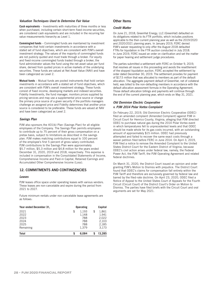#### *Valuation Techniques Used to Determine Fair Value*

**Cash equivalents** – Investments with maturities of three months or less when purchased, including certain short-term fixed-income securities, are considered cash equivalents and are included in the recurring fair value measurements hierarchy as Level 1.

**Commingled funds** – Commingled funds are maintained by investment companies that hold certain investments in accordance with a stated set of fund objectives, which are consistent with PJM's overall investment strategy. The values of the majority of commingled funds are not publicly quoted and must trade through a broker. For equity and fixed-income commingled funds traded through a broker, the fund administrator values the fund using the net asset value per fund share, derived from quoted prices in active markets of the underlying securities. These funds are valued at Net Asset Value (NAV) and have been categorized as Level 2.

**Mutual funds** – Mutual funds are pooled instruments that hold certain investments in accordance with a stated set of fund objectives, which are consistent with PJM's overall investment strategy. These funds consist of fixed income, developing markets and indexed securities. Fidelity Investments, the fund manager, monitors prices supplied by pricing services and may use a supplemental price source or change the primary price source of a given security if the portfolio managers challenge an assigned price and Fidelity determines that another price source is considered to be preferable. These funds are valued at NAV and have been categorized as Level 2.

#### *Savings Plan*

PJM also sponsors the 401(k) Plan (Savings Plan) for all eligible employees of the Company. The Savings Plan permits employees to contribute up to 75 percent of their gross compensation on a pretax basis, subject to limitations as described in the savings plan. PJM makes matching contributions equal to 100 percent of the employee's first 5 percent of gross salary contributed. PJM contributions to the Savings Plan were approximately \$5.7 million, \$5.3 million and \$4.8 million for the years ended December 31, 2020, 2019 and 2018, respectively. This expense is included in compensation in the Consolidated Statements of Income, Comprehensive Income and Paid-in Capital, Retained Earnings and Accumulated Other Comprehensive Income (Loss).

#### **12. COMMITMENTS AND CONTINGENCIES**

#### *Leases*

PJM leases office space under operating leases with various vendors. These leases are non-cancelable and expire during the period from 2021 to 2027.

Future minimum rentals under non-cancelable lease agreements are as follows:

| Year ended December 31, | <b>Operating</b> | Capital        |  |  |
|-------------------------|------------------|----------------|--|--|
| 2021                    | \$<br>1.193      | \$<br>1,861    |  |  |
| 2022<br>2023            | 1,148<br>788     | 1,941<br>2,022 |  |  |
| 2024                    | 788              | 2,103          |  |  |
| 2025                    | 788              | 2,185          |  |  |
| Remaining               | 1.379            | 3.173          |  |  |
| <b>Total</b>            | \$<br>6.084      | 13.285         |  |  |

#### **Other Items**

#### *Credit Matter*

On June 21, 2018, GreenHat Energy, LLC (GreenHat) defaulted on its obligations related to its FTR portfolio, which includes positions applicable to the then current planning year as well as the 2019/2020 and 2020/2021 planning years. In January 2019, FERC denied PJM's waiver requesting to only offer the August 2018 defaulted FTRs for liquidation in the FTR auction conducted in July 2018. In June 2019, FERC issued an order on clarification and set the matter for paper hearing and settlement judge procedures.

The parties submitted a settlement with FERC on October 9, 2019, that resolves all issues in this proceeding and avoids the resettlement of the stopped liquidation auction. FERC accepted the settlement by order dated December 30, 2019. The settlement provides for payment of \$17.5 million that was allocated to members as part of the default allocation. The aggregate payment default of GreenHat, net of collateral held, was billed to the non-defaulting members in accordance with the default allocation assessment formula in the Operating Agreement. Those default allocation billings and payments will continue through the end of the current planning year, which ends on May 31, 2021.

#### *Old Dominion Electric Cooperative v. PJM 2014 Polar Vortex Complaint*

On February 22, 2019, Old Dominion Electric Cooperative (ODEC) filed an amended complaint (Amended Complaint) against PJM in Circuit Court for Henrico County, Virginia, alleging that PJM directed ODEC to purchase natural gas during the 2014 Polar Vortex event in which temperatures fell to unprecedented levels and that ODEC should be made whole for its gas costs incurred, with an outstanding amount of approximately \$15 million. ODEC had previously attempted and failed to recover the same exact costs through a waiver petition filed before FERC in June 2014. On April 3, 2019, PJM filed a notice to remove the Amended Complaint to the United States District Court for the Eastern District of Virginia, because ODEC's civil action arises under federal law, namely, the Federal Power Act, the PJM Tariff, the PJM Operating Agreement and related federal doctrines.

On March 31, 2020, the District Court issued an opinion and order granting PJM's Motion to Dismiss with prejudice. The District Court found that ODEC's claims for compensation fall entirely within the PJM Tariff and therefore are exclusively governed by federal law and barred by the filed-rate doctrine. On April 23, 2020, ODEC filed a Notice of Appeal to the United States Court of Appeals for the Fourth Circuit (Circuit Court) of the District Court's Order on Motion to Dismiss. The parties have filed briefs with the Circuit Court and oral arguments are set for May 2021.